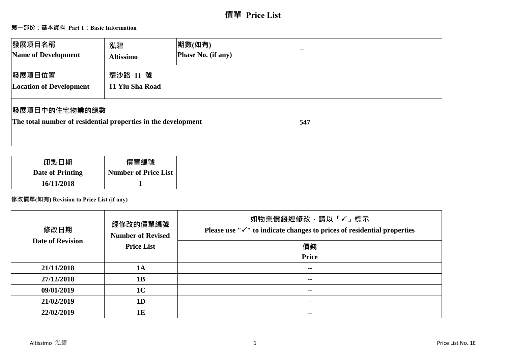# **價單 Price List**

## **第一部份:基本資料 Part 1:Basic Information**

| 發展項目名稱<br>Name of Development                                                          | 泓碧<br><b>Altissimo</b>      | 期數(如有)<br>Phase No. (if any) | $\sim$ $\sim$ |
|----------------------------------------------------------------------------------------|-----------------------------|------------------------------|---------------|
| 發展項目位置<br><b>Location of Development</b>                                               | 耀沙路 11 號<br>11 Yiu Sha Road |                              |               |
| <b> 發展項目中的住宅物業的總數</b><br>The total number of residential properties in the development |                             |                              | 547           |

| 印製日期                    | 價單編號                        |
|-------------------------|-----------------------------|
| <b>Date of Printing</b> | <b>Number of Price List</b> |
| 16/11/2018              |                             |

## **修改價單(如有) Revision to Price List (if any)**

| 修改日期<br><b>Date of Revision</b> | 經修改的價單編號<br><b>Number of Revised</b><br><b>Price List</b> | 如物業價錢經修改,請以「√」標示<br>Please use " $\checkmark$ " to indicate changes to prices of residential properties<br>價錢<br>Price |
|---------------------------------|-----------------------------------------------------------|------------------------------------------------------------------------------------------------------------------------|
| 21/11/2018                      | <b>1A</b>                                                 | $\sim$ $-$                                                                                                             |
| 27/12/2018                      | 1B                                                        | $\sim$ $-$                                                                                                             |
| 09/01/2019                      | 1 <sub>C</sub>                                            | $\sim$ $\sim$                                                                                                          |
| 21/02/2019                      | 1 <sub>D</sub>                                            | $\sim$ $\sim$                                                                                                          |
| 22/02/2019                      | 1E                                                        | --                                                                                                                     |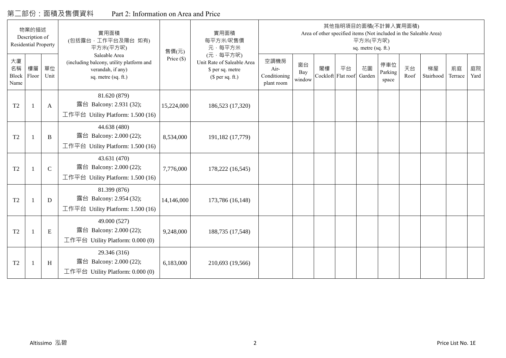## 第二部份:面積及售價資料 Part 2: Information on Area and Price

|                           | 物業的描述<br>Description of<br><b>Residential Property</b> |              | 實用面積<br>(包括露台,工作平台及陽台 如有)<br>平方米(平方呎)                                                                 | 售價(元)        | 實用面積<br>每平方米/呎售價<br>元·每平方米                                                     |                                            |                     |    |                          | 平方米(平方呎)<br>sq. metre (sq. ft.) | 其他指明項目的面積(不計算入實用面積)     |            | Area of other specified items (Not included in the Saleable Area) |               |            |
|---------------------------|--------------------------------------------------------|--------------|-------------------------------------------------------------------------------------------------------|--------------|--------------------------------------------------------------------------------|--------------------------------------------|---------------------|----|--------------------------|---------------------------------|-------------------------|------------|-------------------------------------------------------------------|---------------|------------|
| 大廈<br>名稱<br>Block<br>Name | 樓層<br>Floor                                            | 單位<br>Unit   | Saleable Area<br>(including balcony, utility platform and<br>verandah, if any)<br>sq. metre (sq. ft.) | Price $(\$)$ | (元·每平方呎)<br>Unit Rate of Saleable Area<br>\$ per sq. metre<br>(\$ per sq. ft.) | 空調機房<br>Air-<br>Conditioning<br>plant room | 窗台<br>Bay<br>window | 閣樓 | 平台<br>Cockloft Flat roof | 花園<br>Garden                    | 停車位<br>Parking<br>space | 天台<br>Roof | 梯屋<br>Stairhood                                                   | 前庭<br>Terrace | 庭院<br>Yard |
| T <sub>2</sub>            |                                                        | A            | 81.620 (879)<br>露台 Balcony: 2.931 (32);<br>工作平台 Utility Platform: 1.500 (16)                          | 15,224,000   | 186,523 (17,320)                                                               |                                            |                     |    |                          |                                 |                         |            |                                                                   |               |            |
| T <sub>2</sub>            |                                                        | B            | 44.638 (480)<br>露台 Balcony: 2.000 (22);<br>工作平台 Utility Platform: 1.500 (16)                          | 8,534,000    | 191,182 (17,779)                                                               |                                            |                     |    |                          |                                 |                         |            |                                                                   |               |            |
| T <sub>2</sub>            |                                                        | $\mathsf{C}$ | 43.631 (470)<br>露台 Balcony: 2.000 (22);<br>工作平台 Utility Platform: 1.500 (16)                          | 7,776,000    | 178,222 (16,545)                                                               |                                            |                     |    |                          |                                 |                         |            |                                                                   |               |            |
| T <sub>2</sub>            |                                                        | D            | 81.399 (876)<br>露台 Balcony: 2.954 (32);<br>工作平台 Utility Platform: 1.500 (16)                          | 14,146,000   | 173,786 (16,148)                                                               |                                            |                     |    |                          |                                 |                         |            |                                                                   |               |            |
| T <sub>2</sub>            |                                                        | $\mathbf E$  | 49.000 (527)<br>露台 Balcony: 2.000 (22);<br>工作平台 Utility Platform: 0.000 (0)                           | 9,248,000    | 188,735 (17,548)                                                               |                                            |                     |    |                          |                                 |                         |            |                                                                   |               |            |
| T <sub>2</sub>            |                                                        | H            | 29.346 (316)<br>露台 Balcony: 2.000 (22);<br>工作平台 Utility Platform: 0.000 (0)                           | 6,183,000    | 210,693 (19,566)                                                               |                                            |                     |    |                          |                                 |                         |            |                                                                   |               |            |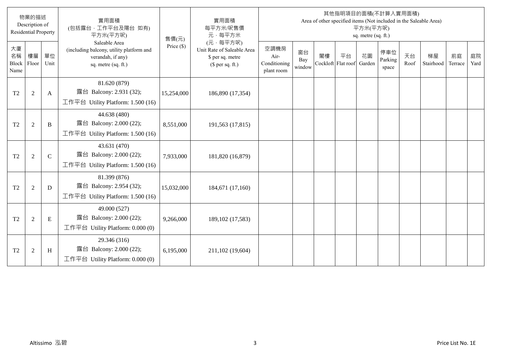|                                  | 物業的描述<br>Description of<br><b>Residential Property</b> |             | 實用面積<br>(包括露台,工作平台及陽台 如有)<br>平方米(平方呎)                                                                 | 售價(元)        | 實用面積<br>每平方米/呎售價<br>元·每平方米                                                     |                                            |                     |                          |    | 平方米(平方呎)<br>sq. metre (sq. ft.) | 其他指明項目的面積(不計算入實用面積)     |            | Area of other specified items (Not included in the Saleable Area) |               |            |
|----------------------------------|--------------------------------------------------------|-------------|-------------------------------------------------------------------------------------------------------|--------------|--------------------------------------------------------------------------------|--------------------------------------------|---------------------|--------------------------|----|---------------------------------|-------------------------|------------|-------------------------------------------------------------------|---------------|------------|
| 大廈<br>名稱<br><b>Block</b><br>Name | 樓層<br>Floor                                            | 單位<br>Unit  | Saleable Area<br>(including balcony, utility platform and<br>verandah, if any)<br>sq. metre (sq. ft.) | Price $(\$)$ | (元·每平方呎)<br>Unit Rate of Saleable Area<br>\$ per sq. metre<br>$$$ per sq. ft.) | 空調機房<br>Air-<br>Conditioning<br>plant room | 窗台<br>Bay<br>window | 閣樓<br>Cockloft Flat roof | 平台 | 花園<br>Garden                    | 停車位<br>Parking<br>space | 天台<br>Roof | 梯屋<br>Stairhood                                                   | 前庭<br>Terrace | 庭院<br>Yard |
| T <sub>2</sub>                   | $\overline{2}$                                         | A           | 81.620 (879)<br>露台 Balcony: 2.931 (32);<br>工作平台 Utility Platform: 1.500 (16)                          | 15,254,000   | 186,890 (17,354)                                                               |                                            |                     |                          |    |                                 |                         |            |                                                                   |               |            |
| T <sub>2</sub>                   | 2                                                      | B           | 44.638 (480)<br>露台 Balcony: 2.000 (22);<br>工作平台 Utility Platform: 1.500 (16)                          | 8,551,000    | 191,563 (17,815)                                                               |                                            |                     |                          |    |                                 |                         |            |                                                                   |               |            |
| T <sub>2</sub>                   | $\overline{2}$                                         | $\mathbf C$ | 43.631 (470)<br>露台 Balcony: 2.000 (22);<br>工作平台 Utility Platform: 1.500 (16)                          | 7,933,000    | 181,820 (16,879)                                                               |                                            |                     |                          |    |                                 |                         |            |                                                                   |               |            |
| T <sub>2</sub>                   | $\overline{2}$                                         | D           | 81.399 (876)<br>露台 Balcony: 2.954 (32);<br>工作平台 Utility Platform: $1.500(16)$                         | 15,032,000   | 184,671 (17,160)                                                               |                                            |                     |                          |    |                                 |                         |            |                                                                   |               |            |
| T <sub>2</sub>                   | $\overline{2}$                                         | E           | 49.000 (527)<br>露台 Balcony: 2.000 (22);<br>工作平台 Utility Platform: 0.000 (0)                           | 9,266,000    | 189, 102 (17, 583)                                                             |                                            |                     |                          |    |                                 |                         |            |                                                                   |               |            |
| T <sub>2</sub>                   | $\overline{2}$                                         | H           | 29.346 (316)<br>露台 Balcony: 2.000 (22);<br>工作平台 Utility Platform: 0.000 (0)                           | 6,195,000    | 211,102 (19,604)                                                               |                                            |                     |                          |    |                                 |                         |            |                                                                   |               |            |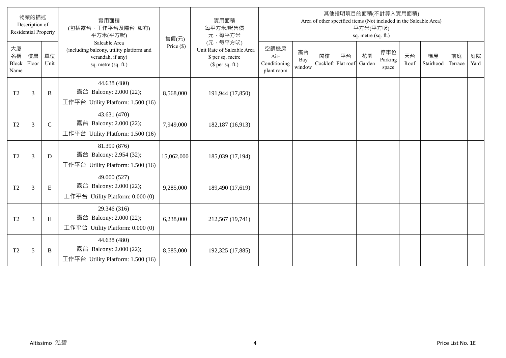|                                  | 物業的描述<br>Description of<br><b>Residential Property</b> |             | 實用面積<br>(包括露台,工作平台及陽台 如有)<br>平方米(平方呎)                                                                 | 售價(元)        | 實用面積<br>每平方米/呎售價<br>元·每平方米                                                     |                                            |                     |                          |    | 平方米(平方呎)<br>sq. metre (sq. ft.) | 其他指明項目的面積(不計算入實用面積)     |            | Area of other specified items (Not included in the Saleable Area) |               |            |
|----------------------------------|--------------------------------------------------------|-------------|-------------------------------------------------------------------------------------------------------|--------------|--------------------------------------------------------------------------------|--------------------------------------------|---------------------|--------------------------|----|---------------------------------|-------------------------|------------|-------------------------------------------------------------------|---------------|------------|
| 大廈<br>名稱<br><b>Block</b><br>Name | 樓層<br>Floor                                            | 單位<br>Unit  | Saleable Area<br>(including balcony, utility platform and<br>verandah, if any)<br>sq. metre (sq. ft.) | Price $(\$)$ | (元·每平方呎)<br>Unit Rate of Saleable Area<br>\$ per sq. metre<br>$$$ per sq. ft.) | 空調機房<br>Air-<br>Conditioning<br>plant room | 窗台<br>Bay<br>window | 閣樓<br>Cockloft Flat roof | 平台 | 花園<br>Garden                    | 停車位<br>Parking<br>space | 天台<br>Roof | 梯屋<br>Stairhood                                                   | 前庭<br>Terrace | 庭院<br>Yard |
| T <sub>2</sub>                   | 3                                                      | B           | 44.638 (480)<br>露台 Balcony: 2.000 (22);<br>工作平台 Utility Platform: 1.500 (16)                          | 8,568,000    | 191,944 (17,850)                                                               |                                            |                     |                          |    |                                 |                         |            |                                                                   |               |            |
| T <sub>2</sub>                   | $\overline{3}$                                         | $\mathbf C$ | 43.631 (470)<br>露台 Balcony: 2.000 (22);<br>工作平台 Utility Platform: 1.500 (16)                          | 7,949,000    | 182,187 (16,913)                                                               |                                            |                     |                          |    |                                 |                         |            |                                                                   |               |            |
| T <sub>2</sub>                   | 3                                                      | D           | 81.399 (876)<br>露台 Balcony: 2.954 (32);<br>工作平台 Utility Platform: 1.500 (16)                          | 15,062,000   | 185,039 (17,194)                                                               |                                            |                     |                          |    |                                 |                         |            |                                                                   |               |            |
| T <sub>2</sub>                   | $\overline{3}$                                         | E           | 49.000 (527)<br>露台 Balcony: 2.000 (22);<br>工作平台 Utility Platform: 0.000 (0)                           | 9,285,000    | 189,490 (17,619)                                                               |                                            |                     |                          |    |                                 |                         |            |                                                                   |               |            |
| T <sub>2</sub>                   | $\mathfrak{Z}$                                         | H           | 29.346 (316)<br>露台 Balcony: 2.000 (22);<br>工作平台 Utility Platform: 0.000 (0)                           | 6,238,000    | 212,567 (19,741)                                                               |                                            |                     |                          |    |                                 |                         |            |                                                                   |               |            |
| T <sub>2</sub>                   | 5                                                      | B           | 44.638 (480)<br>露台 Balcony: 2.000 (22);<br>工作平台 Utility Platform: $1.500(16)$                         | 8,585,000    | 192,325 (17,885)                                                               |                                            |                     |                          |    |                                 |                         |            |                                                                   |               |            |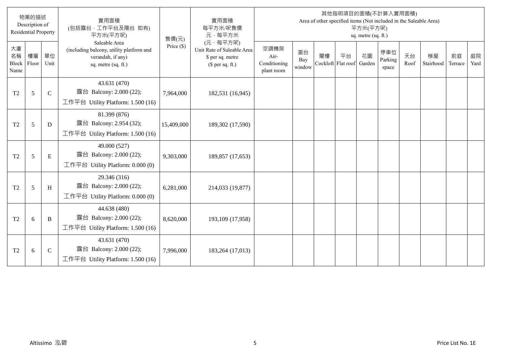|                                  | 物業的描述<br>Description of<br><b>Residential Property</b> |             | 實用面積<br>(包括露台,工作平台及陽台 如有)<br>平方米(平方呎)                                                                 | 售價(元)        | 實用面積<br>每平方米/呎售價<br>元·每平方米                                                     |                                            |                     |                          |    | 平方米(平方呎)<br>sq. metre (sq. ft.) | 其他指明項目的面積(不計算入實用面積)<br>Area of other specified items (Not included in the Saleable Area) |            |                 |               |            |
|----------------------------------|--------------------------------------------------------|-------------|-------------------------------------------------------------------------------------------------------|--------------|--------------------------------------------------------------------------------|--------------------------------------------|---------------------|--------------------------|----|---------------------------------|------------------------------------------------------------------------------------------|------------|-----------------|---------------|------------|
| 大廈<br>名稱<br><b>Block</b><br>Name | 樓層<br>Floor                                            | 單位<br>Unit  | Saleable Area<br>(including balcony, utility platform and<br>verandah, if any)<br>sq. metre (sq. ft.) | Price $(\$)$ | (元·每平方呎)<br>Unit Rate of Saleable Area<br>\$ per sq. metre<br>(\$ per sq. ft.) | 空調機房<br>Air-<br>Conditioning<br>plant room | 窗台<br>Bay<br>window | 閣樓<br>Cockloft Flat roof | 平台 | 花園<br>Garden                    | 停車位<br>Parking<br>space                                                                  | 天台<br>Roof | 梯屋<br>Stairhood | 前庭<br>Terrace | 庭院<br>Yard |
| T <sub>2</sub>                   | 5                                                      | $\mathbf C$ | 43.631 (470)<br>露台 Balcony: 2.000 (22);<br>工作平台 Utility Platform: 1.500 (16)                          | 7,964,000    | 182,531 (16,945)                                                               |                                            |                     |                          |    |                                 |                                                                                          |            |                 |               |            |
| T <sub>2</sub>                   | 5                                                      | D           | 81.399 (876)<br>露台 Balcony: 2.954 (32);<br>工作平台 Utility Platform: $1.500(16)$                         | 15,409,000   | 189,302 (17,590)                                                               |                                            |                     |                          |    |                                 |                                                                                          |            |                 |               |            |
| T <sub>2</sub>                   | 5                                                      | E           | 49.000 (527)<br>露台 Balcony: 2.000 (22);<br>工作平台 Utility Platform: $0.000(0)$                          | 9,303,000    | 189,857 (17,653)                                                               |                                            |                     |                          |    |                                 |                                                                                          |            |                 |               |            |
| T <sub>2</sub>                   | 5                                                      | H           | 29.346 (316)<br>露台 Balcony: 2.000 (22);<br>工作平台 Utility Platform: 0.000 (0)                           | 6,281,000    | 214,033 (19,877)                                                               |                                            |                     |                          |    |                                 |                                                                                          |            |                 |               |            |
| T <sub>2</sub>                   | 6                                                      | B           | 44.638 (480)<br>露台 Balcony: 2.000 (22);<br>工作平台 Utility Platform: $1.500(16)$                         | 8,620,000    | 193,109 (17,958)                                                               |                                            |                     |                          |    |                                 |                                                                                          |            |                 |               |            |
| T <sub>2</sub>                   | 6                                                      | $\mathbf C$ | 43.631 (470)<br>露台 Balcony: 2.000 (22);<br>工作平台 Utility Platform: $1.500(16)$                         | 7,996,000    | 183,264 (17,013)                                                               |                                            |                     |                          |    |                                 |                                                                                          |            |                 |               |            |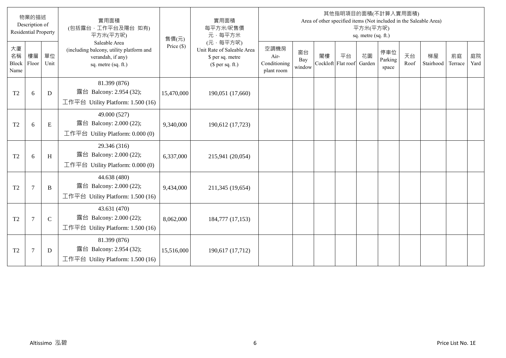|                           | 物業的描述<br>Description of<br><b>Residential Property</b> |              | 實用面積<br>(包括露台,工作平台及陽台 如有)<br>平方米(平方呎)                                                                 | 售價(元)        | 實用面積<br>每平方米/呎售價<br>元·每平方米                                                     |                                            |                     |                          |    | 平方米(平方呎)<br>sq. metre (sq. ft.) | 其他指明項目的面積(不計算入實用面積)     |            | Area of other specified items (Not included in the Saleable Area) |               |            |
|---------------------------|--------------------------------------------------------|--------------|-------------------------------------------------------------------------------------------------------|--------------|--------------------------------------------------------------------------------|--------------------------------------------|---------------------|--------------------------|----|---------------------------------|-------------------------|------------|-------------------------------------------------------------------|---------------|------------|
| 大廈<br>名稱<br>Block<br>Name | 樓層<br>Floor                                            | 單位<br>Unit   | Saleable Area<br>(including balcony, utility platform and<br>verandah, if any)<br>sq. metre (sq. ft.) | Price $(\$)$ | (元·每平方呎)<br>Unit Rate of Saleable Area<br>\$ per sq. metre<br>$$$ per sq. ft.) | 空調機房<br>Air-<br>Conditioning<br>plant room | 窗台<br>Bay<br>window | 閣樓<br>Cockloft Flat roof | 平台 | 花園<br>Garden                    | 停車位<br>Parking<br>space | 天台<br>Roof | 梯屋<br>Stairhood                                                   | 前庭<br>Terrace | 庭院<br>Yard |
| T <sub>2</sub>            | 6                                                      | D            | 81.399 (876)<br>露台 Balcony: 2.954 (32);<br>工作平台 Utility Platform: $1.500(16)$                         | 15,470,000   | 190,051 (17,660)                                                               |                                            |                     |                          |    |                                 |                         |            |                                                                   |               |            |
| T <sub>2</sub>            | 6                                                      | E            | 49.000 (527)<br>露台 Balcony: 2.000 (22);<br>工作平台 Utility Platform: 0.000 (0)                           | 9,340,000    | 190,612 (17,723)                                                               |                                            |                     |                          |    |                                 |                         |            |                                                                   |               |            |
| T <sub>2</sub>            | 6                                                      | H            | 29.346 (316)<br>露台 Balcony: 2.000 (22);<br>工作平台 Utility Platform: $0.000(0)$                          | 6,337,000    | 215,941 (20,054)                                                               |                                            |                     |                          |    |                                 |                         |            |                                                                   |               |            |
| T <sub>2</sub>            | $7\phantom{.0}$                                        | B            | 44.638 (480)<br>露台 Balcony: 2.000 (22);<br>工作平台 Utility Platform: 1.500 (16)                          | 9,434,000    | 211,345 (19,654)                                                               |                                            |                     |                          |    |                                 |                         |            |                                                                   |               |            |
| T <sub>2</sub>            | $7\phantom{.0}$                                        | $\mathsf{C}$ | 43.631 (470)<br>露台 Balcony: 2.000 (22);<br>工作平台 Utility Platform: 1.500 (16)                          | 8,062,000    | 184,777 (17,153)                                                               |                                            |                     |                          |    |                                 |                         |            |                                                                   |               |            |
| T2                        | $\overline{7}$                                         | D            | 81.399 (876)<br>露台 Balcony: 2.954 (32);<br>工作平台 Utility Platform: $1.500(16)$                         | 15,516,000   | 190,617 (17,712)                                                               |                                            |                     |                          |    |                                 |                         |            |                                                                   |               |            |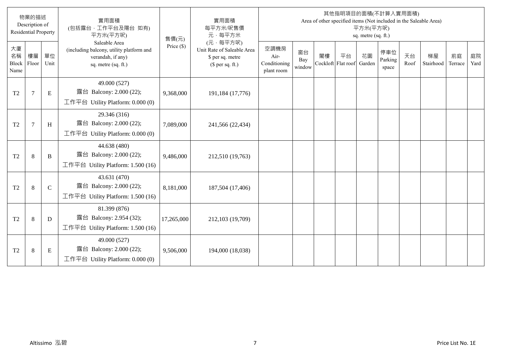|                           | 物業的描述<br>Description of<br><b>Residential Property</b> |             | 實用面積<br>(包括露台,工作平台及陽台 如有)<br>平方米(平方呎)                                                                 | 售價(元)        | 實用面積<br>每平方米/呎售價<br>元·每平方米                                                     |                                            |                     |                          |    | 平方米(平方呎)<br>sq. metre (sq. ft.) | 其他指明項目的面積(不計算入實用面積)     |            | Area of other specified items (Not included in the Saleable Area) |               |            |
|---------------------------|--------------------------------------------------------|-------------|-------------------------------------------------------------------------------------------------------|--------------|--------------------------------------------------------------------------------|--------------------------------------------|---------------------|--------------------------|----|---------------------------------|-------------------------|------------|-------------------------------------------------------------------|---------------|------------|
| 大廈<br>名稱<br>Block<br>Name | 樓層<br>Floor                                            | 單位<br>Unit  | Saleable Area<br>(including balcony, utility platform and<br>verandah, if any)<br>sq. metre (sq. ft.) | Price $(\$)$ | (元·每平方呎)<br>Unit Rate of Saleable Area<br>\$ per sq. metre<br>$$$ per sq. ft.) | 空調機房<br>Air-<br>Conditioning<br>plant room | 窗台<br>Bay<br>window | 閣樓<br>Cockloft Flat roof | 平台 | 花園<br>Garden                    | 停車位<br>Parking<br>space | 天台<br>Roof | 梯屋<br>Stairhood                                                   | 前庭<br>Terrace | 庭院<br>Yard |
| T <sub>2</sub>            | $\overline{7}$                                         | E           | 49.000 (527)<br>露台 Balcony: 2.000 (22);<br>工作平台 Utility Platform: $0.000(0)$                          | 9,368,000    | 191,184 (17,776)                                                               |                                            |                     |                          |    |                                 |                         |            |                                                                   |               |            |
| T <sub>2</sub>            | $\overline{7}$                                         | H           | 29.346 (316)<br>露台 Balcony: 2.000 (22);<br>工作平台 Utility Platform: 0.000 (0)                           | 7,089,000    | 241,566 (22,434)                                                               |                                            |                     |                          |    |                                 |                         |            |                                                                   |               |            |
| T <sub>2</sub>            | $8\phantom{1}$                                         | B           | 44.638 (480)<br>露台 Balcony: 2.000 (22);<br>工作平台 Utility Platform: $1.500(16)$                         | 9,486,000    | 212,510 (19,763)                                                               |                                            |                     |                          |    |                                 |                         |            |                                                                   |               |            |
| T <sub>2</sub>            | 8                                                      | $\mathbf C$ | 43.631 (470)<br>露台 Balcony: 2.000 (22);<br>工作平台 Utility Platform: $1.500(16)$                         | 8,181,000    | 187,504 (17,406)                                                               |                                            |                     |                          |    |                                 |                         |            |                                                                   |               |            |
| T <sub>2</sub>            | $\,8\,$                                                | D           | 81.399 (876)<br>露台 Balcony: 2.954 (32);<br>工作平台 Utility Platform: 1.500 (16)                          | 17,265,000   | 212,103 (19,709)                                                               |                                            |                     |                          |    |                                 |                         |            |                                                                   |               |            |
| T <sub>2</sub>            | $\,8\,$                                                | E           | 49.000 (527)<br>露台 Balcony: 2.000 (22);<br>工作平台 Utility Platform: $0.000(0)$                          | 9,506,000    | 194,000 (18,038)                                                               |                                            |                     |                          |    |                                 |                         |            |                                                                   |               |            |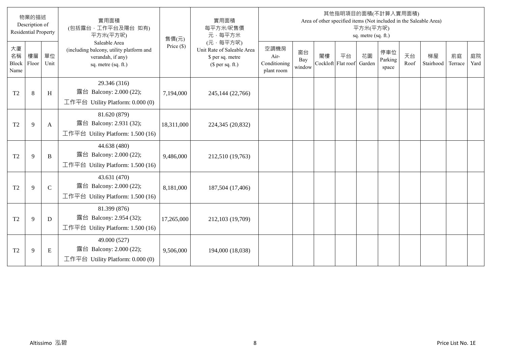|                           | 物業的描述<br>Description of<br><b>Residential Property</b> |             | 實用面積<br>(包括露台,工作平台及陽台 如有)<br>平方米(平方呎)                                                                 | 售價(元)        | 實用面積<br>每平方米/呎售價<br>元·每平方米                                                     |                                            |                     |                          |    | 平方米(平方呎)<br>sq. metre (sq. ft.) | 其他指明項目的面積(不計算入實用面積)     |            | Area of other specified items (Not included in the Saleable Area) |               |            |
|---------------------------|--------------------------------------------------------|-------------|-------------------------------------------------------------------------------------------------------|--------------|--------------------------------------------------------------------------------|--------------------------------------------|---------------------|--------------------------|----|---------------------------------|-------------------------|------------|-------------------------------------------------------------------|---------------|------------|
| 大廈<br>名稱<br>Block<br>Name | 樓層<br>Floor                                            | 單位<br>Unit  | Saleable Area<br>(including balcony, utility platform and<br>verandah, if any)<br>sq. metre (sq. ft.) | Price $(\$)$ | (元·每平方呎)<br>Unit Rate of Saleable Area<br>\$ per sq. metre<br>$$$ per sq. ft.) | 空調機房<br>Air-<br>Conditioning<br>plant room | 窗台<br>Bay<br>window | 閣樓<br>Cockloft Flat roof | 平台 | 花園<br>Garden                    | 停車位<br>Parking<br>space | 天台<br>Roof | 梯屋<br>Stairhood                                                   | 前庭<br>Terrace | 庭院<br>Yard |
| T <sub>2</sub>            | 8                                                      | H           | 29.346 (316)<br>露台 Balcony: 2.000 (22);<br>工作平台 Utility Platform: $0.000(0)$                          | 7,194,000    | 245,144 (22,766)                                                               |                                            |                     |                          |    |                                 |                         |            |                                                                   |               |            |
| T <sub>2</sub>            | 9                                                      | A           | 81.620 (879)<br>露台 Balcony: 2.931 (32);<br>工作平台 Utility Platform: 1.500 (16)                          | 18,311,000   | 224,345 (20,832)                                                               |                                            |                     |                          |    |                                 |                         |            |                                                                   |               |            |
| T <sub>2</sub>            | 9                                                      | B           | 44.638 (480)<br>露台 Balcony: 2.000 (22);<br>工作平台 Utility Platform: $1.500(16)$                         | 9,486,000    | 212,510 (19,763)                                                               |                                            |                     |                          |    |                                 |                         |            |                                                                   |               |            |
| T <sub>2</sub>            | 9                                                      | $\mathbf C$ | 43.631 (470)<br>露台 Balcony: 2.000 (22);<br>工作平台 Utility Platform: 1.500 (16)                          | 8,181,000    | 187,504 (17,406)                                                               |                                            |                     |                          |    |                                 |                         |            |                                                                   |               |            |
| T <sub>2</sub>            | 9                                                      | D           | 81.399 (876)<br>露台 Balcony: 2.954 (32);<br>工作平台 Utility Platform: 1.500 (16)                          | 17,265,000   | 212,103 (19,709)                                                               |                                            |                     |                          |    |                                 |                         |            |                                                                   |               |            |
| T <sub>2</sub>            | 9                                                      | E           | 49.000 (527)<br>露台 Balcony: 2.000 (22);<br>工作平台 Utility Platform: $0.000(0)$                          | 9,506,000    | 194,000 (18,038)                                                               |                                            |                     |                          |    |                                 |                         |            |                                                                   |               |            |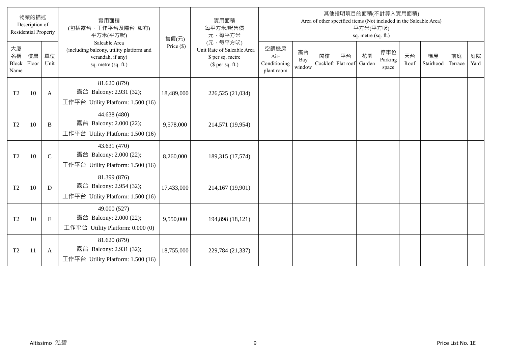|                                  | 物業的描述<br>Description of<br><b>Residential Property</b> |               | 實用面積<br>(包括露台,工作平台及陽台 如有)<br>平方米(平方呎)                                                                 | 售價(元)        | 實用面積<br>每平方米/呎售價<br>元·每平方米                                                     |                                            |                     |                          |    | 平方米(平方呎)<br>sq. metre (sq. ft.) | 其他指明項目的面積(不計算入實用面積)     |            | Area of other specified items (Not included in the Saleable Area) |               |            |
|----------------------------------|--------------------------------------------------------|---------------|-------------------------------------------------------------------------------------------------------|--------------|--------------------------------------------------------------------------------|--------------------------------------------|---------------------|--------------------------|----|---------------------------------|-------------------------|------------|-------------------------------------------------------------------|---------------|------------|
| 大廈<br>名稱<br><b>Block</b><br>Name | 樓層<br>Floor                                            | 單位<br>Unit    | Saleable Area<br>(including balcony, utility platform and<br>verandah, if any)<br>sq. metre (sq. ft.) | Price $(\$)$ | (元·每平方呎)<br>Unit Rate of Saleable Area<br>\$ per sq. metre<br>$$$ per sq. ft.) | 空調機房<br>Air-<br>Conditioning<br>plant room | 窗台<br>Bay<br>window | 閣樓<br>Cockloft Flat roof | 平台 | 花園<br>Garden                    | 停車位<br>Parking<br>space | 天台<br>Roof | 梯屋<br>Stairhood                                                   | 前庭<br>Terrace | 庭院<br>Yard |
| T <sub>2</sub>                   | 10                                                     | A             | 81.620 (879)<br>露台 Balcony: 2.931 (32);<br>工作平台 Utility Platform: 1.500 (16)                          | 18,489,000   | 226,525 (21,034)                                                               |                                            |                     |                          |    |                                 |                         |            |                                                                   |               |            |
| T <sub>2</sub>                   | 10                                                     | B             | 44.638 (480)<br>露台 Balcony: 2.000 (22);<br>工作平台 Utility Platform: 1.500 (16)                          | 9,578,000    | 214,571 (19,954)                                                               |                                            |                     |                          |    |                                 |                         |            |                                                                   |               |            |
| T <sub>2</sub>                   | 10                                                     | $\mathcal{C}$ | 43.631 (470)<br>露台 Balcony: 2.000 (22);<br>工作平台 Utility Platform: 1.500 (16)                          | 8,260,000    | 189,315 (17,574)                                                               |                                            |                     |                          |    |                                 |                         |            |                                                                   |               |            |
| T <sub>2</sub>                   | 10                                                     | D             | 81.399 (876)<br>露台 Balcony: 2.954 (32);<br>工作平台 Utility Platform: 1.500 (16)                          | 17,433,000   | 214,167 (19,901)                                                               |                                            |                     |                          |    |                                 |                         |            |                                                                   |               |            |
| T <sub>2</sub>                   | 10                                                     | E             | 49.000 (527)<br>露台 Balcony: 2.000 (22);<br>工作平台 Utility Platform: 0.000 (0)                           | 9,550,000    | 194,898 (18,121)                                                               |                                            |                     |                          |    |                                 |                         |            |                                                                   |               |            |
| T <sub>2</sub>                   | 11                                                     | A             | 81.620 (879)<br>露台 Balcony: 2.931 (32);<br>工作平台 Utility Platform: 1.500 (16)                          | 18,755,000   | 229,784 (21,337)                                                               |                                            |                     |                          |    |                                 |                         |            |                                                                   |               |            |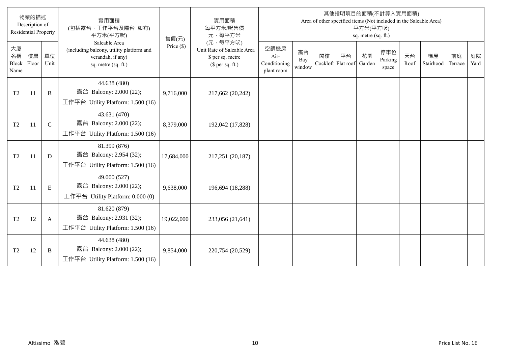|                                  | 物業的描述<br>Description of<br><b>Residential Property</b> |             | 實用面積<br>(包括露台,工作平台及陽台 如有)<br>平方米(平方呎)                                                                 | 售價(元)        | 實用面積<br>每平方米/呎售價<br>元·每平方米                                                     |                                            |                     |                          |    | 平方米(平方呎)<br>sq. metre (sq. ft.) | 其他指明項目的面積(不計算入實用面積)     |            | Area of other specified items (Not included in the Saleable Area) |               |            |
|----------------------------------|--------------------------------------------------------|-------------|-------------------------------------------------------------------------------------------------------|--------------|--------------------------------------------------------------------------------|--------------------------------------------|---------------------|--------------------------|----|---------------------------------|-------------------------|------------|-------------------------------------------------------------------|---------------|------------|
| 大廈<br>名稱<br><b>Block</b><br>Name | 樓層<br>Floor                                            | 單位<br>Unit  | Saleable Area<br>(including balcony, utility platform and<br>verandah, if any)<br>sq. metre (sq. ft.) | Price $(\$)$ | (元·每平方呎)<br>Unit Rate of Saleable Area<br>\$ per sq. metre<br>$$$ per sq. ft.) | 空調機房<br>Air-<br>Conditioning<br>plant room | 窗台<br>Bay<br>window | 閣樓<br>Cockloft Flat roof | 平台 | 花園<br>Garden                    | 停車位<br>Parking<br>space | 天台<br>Roof | 梯屋<br>Stairhood                                                   | 前庭<br>Terrace | 庭院<br>Yard |
| T <sub>2</sub>                   | 11                                                     | B           | 44.638 (480)<br>露台 Balcony: 2.000 (22);<br>工作平台 Utility Platform: 1.500 (16)                          | 9,716,000    | 217,662 (20,242)                                                               |                                            |                     |                          |    |                                 |                         |            |                                                                   |               |            |
| T <sub>2</sub>                   | <sup>11</sup>                                          | $\mathbf C$ | 43.631 (470)<br>露台 Balcony: 2.000 (22);<br>工作平台 Utility Platform: 1.500 (16)                          | 8,379,000    | 192,042 (17,828)                                                               |                                            |                     |                          |    |                                 |                         |            |                                                                   |               |            |
| T <sub>2</sub>                   | 11                                                     | D           | 81.399 (876)<br>露台 Balcony: 2.954 (32);<br>工作平台 Utility Platform: 1.500 (16)                          | 17,684,000   | 217,251 (20,187)                                                               |                                            |                     |                          |    |                                 |                         |            |                                                                   |               |            |
| T <sub>2</sub>                   | 11                                                     | E           | 49.000 (527)<br>露台 Balcony: 2.000 (22);<br>工作平台 Utility Platform: 0.000 (0)                           | 9,638,000    | 196,694 (18,288)                                                               |                                            |                     |                          |    |                                 |                         |            |                                                                   |               |            |
| T <sub>2</sub>                   | 12                                                     | A           | 81.620 (879)<br>露台 Balcony: 2.931 (32);<br>工作平台 Utility Platform: 1.500 (16)                          | 19,022,000   | 233,056 (21,641)                                                               |                                            |                     |                          |    |                                 |                         |            |                                                                   |               |            |
| T <sub>2</sub>                   | 12                                                     | B           | 44.638 (480)<br>露台 Balcony: 2.000 (22);<br>工作平台 Utility Platform: $1.500(16)$                         | 9,854,000    | 220,754 (20,529)                                                               |                                            |                     |                          |    |                                 |                         |            |                                                                   |               |            |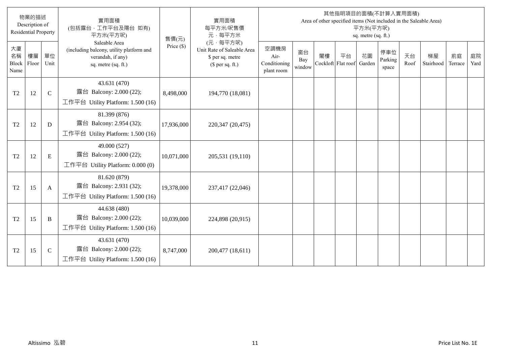|                                  | 物業的描述<br>Description of<br><b>Residential Property</b> |             | 實用面積<br>(包括露台,工作平台及陽台 如有)<br>平方米(平方呎)                                                                 | 售價(元)        | 實用面積<br>每平方米/呎售價<br>元·每平方米                                                     |                                            |                     |                          |    | 平方米(平方呎)<br>sq. metre (sq. ft.) | 其他指明項目的面積(不計算入實用面積)     |            | Area of other specified items (Not included in the Saleable Area) |               |            |
|----------------------------------|--------------------------------------------------------|-------------|-------------------------------------------------------------------------------------------------------|--------------|--------------------------------------------------------------------------------|--------------------------------------------|---------------------|--------------------------|----|---------------------------------|-------------------------|------------|-------------------------------------------------------------------|---------------|------------|
| 大廈<br>名稱<br><b>Block</b><br>Name | 樓層<br>Floor                                            | 單位<br>Unit  | Saleable Area<br>(including balcony, utility platform and<br>verandah, if any)<br>sq. metre (sq. ft.) | Price $(\$)$ | (元·每平方呎)<br>Unit Rate of Saleable Area<br>\$ per sq. metre<br>$$$ per sq. ft.) | 空調機房<br>Air-<br>Conditioning<br>plant room | 窗台<br>Bay<br>window | 閣樓<br>Cockloft Flat roof | 平台 | 花園<br>Garden                    | 停車位<br>Parking<br>space | 天台<br>Roof | 梯屋<br>Stairhood                                                   | 前庭<br>Terrace | 庭院<br>Yard |
| T <sub>2</sub>                   | 12                                                     | $\mathbf C$ | 43.631 (470)<br>露台 Balcony: 2.000 (22);<br>工作平台 Utility Platform: 1.500 (16)                          | 8,498,000    | 194,770 (18,081)                                                               |                                            |                     |                          |    |                                 |                         |            |                                                                   |               |            |
| T <sub>2</sub>                   | 12                                                     | D           | 81.399 (876)<br>露台 Balcony: 2.954 (32);<br>工作平台 Utility Platform: 1.500 (16)                          | 17,936,000   | 220,347 (20,475)                                                               |                                            |                     |                          |    |                                 |                         |            |                                                                   |               |            |
| T <sub>2</sub>                   | 12                                                     | E           | 49.000 (527)<br>露台 Balcony: 2.000 (22);<br>工作平台 Utility Platform: $0.000(0)$                          | 10,071,000   | 205,531 (19,110)                                                               |                                            |                     |                          |    |                                 |                         |            |                                                                   |               |            |
| T <sub>2</sub>                   | 15                                                     | A           | 81.620 (879)<br>露台 Balcony: 2.931 (32);<br>工作平台 Utility Platform: $1.500(16)$                         | 19,378,000   | 237,417 (22,046)                                                               |                                            |                     |                          |    |                                 |                         |            |                                                                   |               |            |
| T <sub>2</sub>                   | 15                                                     | B           | 44.638 (480)<br>露台 Balcony: 2.000 (22);<br>工作平台 Utility Platform: $1.500(16)$                         | 10,039,000   | 224,898 (20,915)                                                               |                                            |                     |                          |    |                                 |                         |            |                                                                   |               |            |
| T <sub>2</sub>                   | 15                                                     | $\mathbf C$ | 43.631 (470)<br>露台 Balcony: 2.000 (22);<br>工作平台 Utility Platform: $1.500(16)$                         | 8,747,000    | 200,477 (18,611)                                                               |                                            |                     |                          |    |                                 |                         |            |                                                                   |               |            |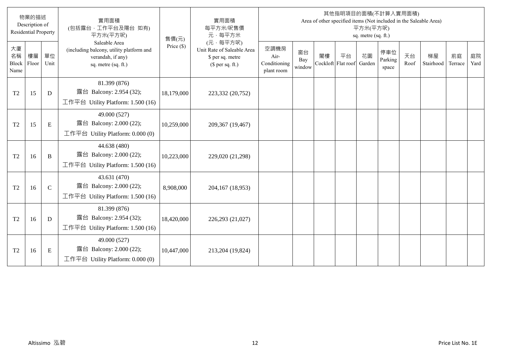|                                  | 物業的描述<br>Description of<br><b>Residential Property</b> |               | 實用面積<br>(包括露台,工作平台及陽台 如有)<br>平方米(平方呎)                                                                 | 售價(元)        | 實用面積<br>每平方米/呎售價<br>元·每平方米                                                     |                                            |                     |                          |    | 平方米(平方呎)<br>sq. metre (sq. ft.) | 其他指明項目的面積(不計算入實用面積)     |            | Area of other specified items (Not included in the Saleable Area) |               |            |
|----------------------------------|--------------------------------------------------------|---------------|-------------------------------------------------------------------------------------------------------|--------------|--------------------------------------------------------------------------------|--------------------------------------------|---------------------|--------------------------|----|---------------------------------|-------------------------|------------|-------------------------------------------------------------------|---------------|------------|
| 大廈<br>名稱<br><b>Block</b><br>Name | 樓層<br>Floor                                            | 單位<br>Unit    | Saleable Area<br>(including balcony, utility platform and<br>verandah, if any)<br>sq. metre (sq. ft.) | Price $(\$)$ | (元·每平方呎)<br>Unit Rate of Saleable Area<br>\$ per sq. metre<br>$$$ per sq. ft.) | 空調機房<br>Air-<br>Conditioning<br>plant room | 窗台<br>Bay<br>window | 閣樓<br>Cockloft Flat roof | 平台 | 花園<br>Garden                    | 停車位<br>Parking<br>space | 天台<br>Roof | 梯屋<br>Stairhood                                                   | 前庭<br>Terrace | 庭院<br>Yard |
| T <sub>2</sub>                   | 15                                                     | D             | 81.399 (876)<br>露台 Balcony: 2.954 (32);<br>工作平台 Utility Platform: 1.500 (16)                          | 18,179,000   | 223,332 (20,752)                                                               |                                            |                     |                          |    |                                 |                         |            |                                                                   |               |            |
| T <sub>2</sub>                   | 15                                                     | E             | 49.000 (527)<br>露台 Balcony: 2.000 (22);<br>工作平台 Utility Platform: 0.000 (0)                           | 10,259,000   | 209,367 (19,467)                                                               |                                            |                     |                          |    |                                 |                         |            |                                                                   |               |            |
| T <sub>2</sub>                   | 16                                                     | B             | 44.638 (480)<br>露台 Balcony: 2.000 (22);<br>工作平台 Utility Platform: 1.500 (16)                          | 10,223,000   | 229,020 (21,298)                                                               |                                            |                     |                          |    |                                 |                         |            |                                                                   |               |            |
| T <sub>2</sub>                   | 16                                                     | $\mathcal{C}$ | 43.631 (470)<br>露台 Balcony: 2.000 (22);<br>工作平台 Utility Platform: $1.500(16)$                         | 8,908,000    | 204,167 (18,953)                                                               |                                            |                     |                          |    |                                 |                         |            |                                                                   |               |            |
| T <sub>2</sub>                   | 16                                                     | D             | 81.399 (876)<br>露台 Balcony: 2.954 (32);<br>工作平台 Utility Platform: 1.500 (16)                          | 18,420,000   | 226,293 (21,027)                                                               |                                            |                     |                          |    |                                 |                         |            |                                                                   |               |            |
| T <sub>2</sub>                   | 16                                                     | E             | 49.000 (527)<br>露台 Balcony: 2.000 (22);<br>工作平台 Utility Platform: 0.000 (0)                           | 10,447,000   | 213,204 (19,824)                                                               |                                            |                     |                          |    |                                 |                         |            |                                                                   |               |            |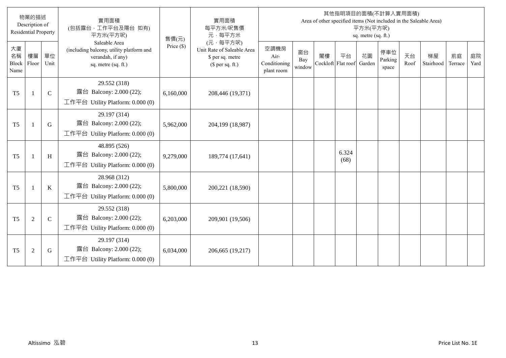|                           | 物業的描述<br>Description of<br><b>Residential Property</b> |               | 實用面積<br>(包括露台,工作平台及陽台 如有)<br>平方米(平方呎)                                                                 | 售價(元)        | 實用面積<br>每平方米/呎售價<br>元·每平方米                                                     |                                            |                     |    |                          | 平方米(平方呎)<br>sq. metre (sq. ft.) | 其他指明項目的面積(不計算入實用面積)     |            | Area of other specified items (Not included in the Saleable Area) |               |            |
|---------------------------|--------------------------------------------------------|---------------|-------------------------------------------------------------------------------------------------------|--------------|--------------------------------------------------------------------------------|--------------------------------------------|---------------------|----|--------------------------|---------------------------------|-------------------------|------------|-------------------------------------------------------------------|---------------|------------|
| 大廈<br>名稱<br>Block<br>Name | 樓層<br>Floor                                            | 單位<br>Unit    | Saleable Area<br>(including balcony, utility platform and<br>verandah, if any)<br>sq. metre (sq. ft.) | Price $(\$)$ | (元·每平方呎)<br>Unit Rate of Saleable Area<br>\$ per sq. metre<br>$$$ per sq. ft.) | 空調機房<br>Air-<br>Conditioning<br>plant room | 窗台<br>Bay<br>window | 閣樓 | 平台<br>Cockloft Flat roof | 花園<br>Garden                    | 停車位<br>Parking<br>space | 天台<br>Roof | 梯屋<br>Stairhood                                                   | 前庭<br>Terrace | 庭院<br>Yard |
| T <sub>5</sub>            | -1                                                     | $\mathbf C$   | 29.552 (318)<br>露台 Balcony: 2.000 (22);<br>工作平台 Utility Platform: 0.000 (0)                           | 6,160,000    | 208,446 (19,371)                                                               |                                            |                     |    |                          |                                 |                         |            |                                                                   |               |            |
| T <sub>5</sub>            | $\mathbf{1}$                                           | G             | 29.197 (314)<br>露台 Balcony: 2.000 (22);<br>工作平台 Utility Platform: 0.000 (0)                           | 5,962,000    | 204,199 (18,987)                                                               |                                            |                     |    |                          |                                 |                         |            |                                                                   |               |            |
| T <sub>5</sub>            | -1                                                     | H             | 48.895 (526)<br>露台 Balcony: 2.000 (22);<br>工作平台 Utility Platform: $0.000(0)$                          | 9,279,000    | 189,774 (17,641)                                                               |                                            |                     |    | 6.324<br>(68)            |                                 |                         |            |                                                                   |               |            |
| T <sub>5</sub>            | $\mathbf{1}$                                           | $\bf K$       | 28.968 (312)<br>露台 Balcony: 2.000 (22);<br>工作平台 Utility Platform: $0.000(0)$                          | 5,800,000    | 200,221 (18,590)                                                               |                                            |                     |    |                          |                                 |                         |            |                                                                   |               |            |
| T <sub>5</sub>            | $\overline{2}$                                         | $\mathcal{C}$ | 29.552 (318)<br>露台 Balcony: 2.000 (22);<br>工作平台 Utility Platform: $0.000(0)$                          | 6,203,000    | 209,901 (19,506)                                                               |                                            |                     |    |                          |                                 |                         |            |                                                                   |               |            |
| T <sub>5</sub>            | $\overline{2}$                                         | G             | 29.197 (314)<br>露台 Balcony: 2.000 (22);<br>工作平台 Utility Platform: 0.000 (0)                           | 6,034,000    | 206,665 (19,217)                                                               |                                            |                     |    |                          |                                 |                         |            |                                                                   |               |            |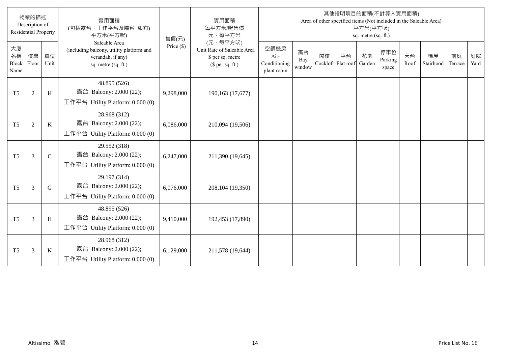|                           | 物業的描述<br>Description of<br><b>Residential Property</b> |             | 實用面積<br>(包括露台·工作平台及陽台 如有)<br>平方米(平方呎)                                                                 | 售價(元)        | 實用面積<br>每平方米/呎售價<br>元·每平方米                                                     |                                            |                     |    |                          | 平方米(平方呎)<br>sq. metre (sq. ft.) | 其他指明項目的面積(不計算入實用面積)     |            | Area of other specified items (Not included in the Saleable Area) |               |            |
|---------------------------|--------------------------------------------------------|-------------|-------------------------------------------------------------------------------------------------------|--------------|--------------------------------------------------------------------------------|--------------------------------------------|---------------------|----|--------------------------|---------------------------------|-------------------------|------------|-------------------------------------------------------------------|---------------|------------|
| 大廈<br>名稱<br>Block<br>Name | 樓層<br>Floor                                            | 單位<br>Unit  | Saleable Area<br>(including balcony, utility platform and<br>verandah, if any)<br>sq. metre (sq. ft.) | Price $(\$)$ | (元·每平方呎)<br>Unit Rate of Saleable Area<br>\$ per sq. metre<br>$$$ per sq. ft.) | 空調機房<br>Air-<br>Conditioning<br>plant room | 窗台<br>Bay<br>window | 閣樓 | 平台<br>Cockloft Flat roof | 花園<br>Garden                    | 停車位<br>Parking<br>space | 天台<br>Roof | 梯屋<br>Stairhood                                                   | 前庭<br>Terrace | 庭院<br>Yard |
| T <sub>5</sub>            | $\overline{2}$                                         | H           | 48.895 (526)<br>露台 Balcony: 2.000 (22);<br>工作平台 Utility Platform: 0.000 (0)                           | 9,298,000    | 190,163 (17,677)                                                               |                                            |                     |    |                          |                                 |                         |            |                                                                   |               |            |
| T <sub>5</sub>            | $\overline{2}$                                         | $\bf K$     | 28.968 (312)<br>露台 Balcony: 2.000 (22);<br>工作平台 Utility Platform: 0.000 (0)                           | 6,086,000    | 210,094 (19,506)                                                               |                                            |                     |    |                          |                                 |                         |            |                                                                   |               |            |
| T <sub>5</sub>            | 3                                                      | $\mathbf C$ | 29.552 (318)<br>露台 Balcony: 2.000 (22);<br>工作平台 Utility Platform: 0.000 (0)                           | 6,247,000    | 211,390 (19,645)                                                               |                                            |                     |    |                          |                                 |                         |            |                                                                   |               |            |
| T <sub>5</sub>            | 3                                                      | G           | 29.197 (314)<br>露台 Balcony: 2.000 (22);<br>工作平台 Utility Platform: 0.000 (0)                           | 6,076,000    | 208,104 (19,350)                                                               |                                            |                     |    |                          |                                 |                         |            |                                                                   |               |            |
| T <sub>5</sub>            | 3                                                      | H           | 48.895 (526)<br>露台 Balcony: 2.000 (22);<br>工作平台 Utility Platform: 0.000 (0)                           | 9,410,000    | 192,453 (17,890)                                                               |                                            |                     |    |                          |                                 |                         |            |                                                                   |               |            |
| T <sub>5</sub>            | 3                                                      | $\bf K$     | 28.968 (312)<br>露台 Balcony: 2.000 (22);<br>工作平台 Utility Platform: 0.000 (0)                           | 6,129,000    | 211,578 (19,644)                                                               |                                            |                     |    |                          |                                 |                         |            |                                                                   |               |            |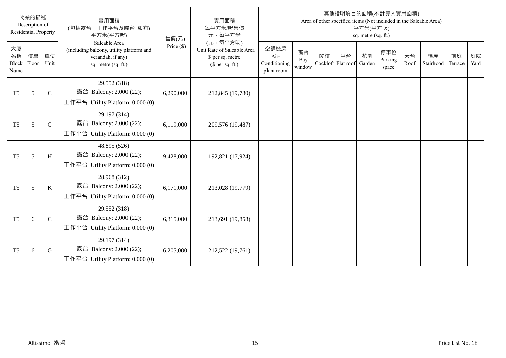|                           | 物業的描述<br>Description of<br><b>Residential Property</b> |             | 實用面積<br>(包括露台,工作平台及陽台 如有)<br>平方米(平方呎)                                                                 | 售價(元)        | 實用面積<br>每平方米/呎售價<br>元·每平方米                                                     |                                            |                     |                          |    | 平方米(平方呎)<br>sq. metre (sq. ft.) | 其他指明項目的面積(不計算入實用面積)     |            | Area of other specified items (Not included in the Saleable Area) |               |            |
|---------------------------|--------------------------------------------------------|-------------|-------------------------------------------------------------------------------------------------------|--------------|--------------------------------------------------------------------------------|--------------------------------------------|---------------------|--------------------------|----|---------------------------------|-------------------------|------------|-------------------------------------------------------------------|---------------|------------|
| 大廈<br>名稱<br>Block<br>Name | 樓層<br>Floor                                            | 單位<br>Unit  | Saleable Area<br>(including balcony, utility platform and<br>verandah, if any)<br>sq. metre (sq. ft.) | Price $(\$)$ | (元·每平方呎)<br>Unit Rate of Saleable Area<br>\$ per sq. metre<br>$$$ per sq. ft.) | 空調機房<br>Air-<br>Conditioning<br>plant room | 窗台<br>Bay<br>window | 閣樓<br>Cockloft Flat roof | 平台 | 花園<br>Garden                    | 停車位<br>Parking<br>space | 天台<br>Roof | 梯屋<br>Stairhood                                                   | 前庭<br>Terrace | 庭院<br>Yard |
| T <sub>5</sub>            | 5                                                      | $\mathbf C$ | 29.552 (318)<br>露台 Balcony: 2.000 (22);<br>工作平台 Utility Platform: 0.000 (0)                           | 6,290,000    | 212,845 (19,780)                                                               |                                            |                     |                          |    |                                 |                         |            |                                                                   |               |            |
| T <sub>5</sub>            | 5                                                      | G           | 29.197 (314)<br>露台 Balcony: 2.000 (22);<br>工作平台 Utility Platform: 0.000 (0)                           | 6,119,000    | 209,576 (19,487)                                                               |                                            |                     |                          |    |                                 |                         |            |                                                                   |               |            |
| T <sub>5</sub>            | 5                                                      | H           | 48.895 (526)<br>露台 Balcony: 2.000 (22);<br>工作平台 Utility Platform: $0.000(0)$                          | 9,428,000    | 192,821 (17,924)                                                               |                                            |                     |                          |    |                                 |                         |            |                                                                   |               |            |
| T <sub>5</sub>            | 5                                                      | $\bf K$     | 28.968 (312)<br>露台 Balcony: 2.000 (22);<br>工作平台 Utility Platform: $0.000(0)$                          | 6,171,000    | 213,028 (19,779)                                                               |                                            |                     |                          |    |                                 |                         |            |                                                                   |               |            |
| T <sub>5</sub>            | 6                                                      | $\mathbf C$ | 29.552 (318)<br>露台 Balcony: 2.000 (22);<br>工作平台 Utility Platform: $0.000(0)$                          | 6,315,000    | 213,691 (19,858)                                                               |                                            |                     |                          |    |                                 |                         |            |                                                                   |               |            |
| T <sub>5</sub>            | 6                                                      | G           | 29.197 (314)<br>露台 Balcony: 2.000 (22);<br>工作平台 Utility Platform: $0.000(0)$                          | 6,205,000    | 212,522 (19,761)                                                               |                                            |                     |                          |    |                                 |                         |            |                                                                   |               |            |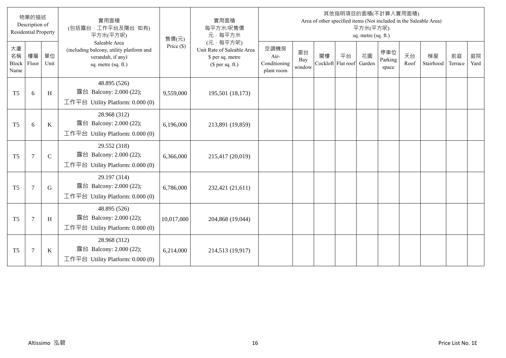|                           | 物業的描述<br>Description of<br><b>Residential Property</b> |               | 實用面積<br>(包括露台·工作平台及陽台 如有)<br>平方米(平方呎)                                                                 | 售價(元)        | 實用面積<br>每平方米/呎售價<br>元·每平方米                                                     |                                            |                     |    |                          | 平方米(平方呎)<br>sq. metre (sq. ft.) | 其他指明項目的面積(不計算入實用面積)     |            | Area of other specified items (Not included in the Saleable Area) |               |            |
|---------------------------|--------------------------------------------------------|---------------|-------------------------------------------------------------------------------------------------------|--------------|--------------------------------------------------------------------------------|--------------------------------------------|---------------------|----|--------------------------|---------------------------------|-------------------------|------------|-------------------------------------------------------------------|---------------|------------|
| 大廈<br>名稱<br>Block<br>Name | 樓層<br>Floor                                            | 單位<br>Unit    | Saleable Area<br>(including balcony, utility platform and<br>verandah, if any)<br>sq. metre (sq. ft.) | Price $(\$)$ | (元·每平方呎)<br>Unit Rate of Saleable Area<br>\$ per sq. metre<br>$$$ per sq. ft.) | 空調機房<br>Air-<br>Conditioning<br>plant room | 窗台<br>Bay<br>window | 閣樓 | 平台<br>Cockloft Flat roof | 花園<br>Garden                    | 停車位<br>Parking<br>space | 天台<br>Roof | 梯屋<br>Stairhood                                                   | 前庭<br>Terrace | 庭院<br>Yard |
| T <sub>5</sub>            | 6                                                      | H             | 48.895 (526)<br>露台 Balcony: 2.000 (22);<br>工作平台 Utility Platform: 0.000 (0)                           | 9,559,000    | 195,501 (18,173)                                                               |                                            |                     |    |                          |                                 |                         |            |                                                                   |               |            |
| T <sub>5</sub>            | 6                                                      | $\bf K$       | 28.968 (312)<br>露台 Balcony: 2.000 (22);<br>工作平台 Utility Platform: 0.000 (0)                           | 6,196,000    | 213,891 (19,859)                                                               |                                            |                     |    |                          |                                 |                         |            |                                                                   |               |            |
| T <sub>5</sub>            | $\tau$                                                 | $\mathcal{C}$ | 29.552 (318)<br>露台 Balcony: 2.000 (22);<br>工作平台 Utility Platform: $0.000(0)$                          | 6,366,000    | 215,417 (20,019)                                                               |                                            |                     |    |                          |                                 |                         |            |                                                                   |               |            |
| T <sub>5</sub>            | $\overline{7}$                                         | G             | 29.197 (314)<br>露台 Balcony: 2.000 (22);<br>工作平台 Utility Platform: 0.000 (0)                           | 6,786,000    | 232,421 (21,611)                                                               |                                            |                     |    |                          |                                 |                         |            |                                                                   |               |            |
| T <sub>5</sub>            | $\tau$                                                 | H             | 48.895 (526)<br>露台 Balcony: 2.000 (22);<br>工作平台 Utility Platform: 0.000 (0)                           | 10,017,000   | 204,868 (19,044)                                                               |                                            |                     |    |                          |                                 |                         |            |                                                                   |               |            |
| T <sub>5</sub>            | $\overline{7}$                                         | $\bf K$       | 28.968 (312)<br>露台 Balcony: 2.000 (22);<br>工作平台 Utility Platform: 0.000 (0)                           | 6,214,000    | 214,513 (19,917)                                                               |                                            |                     |    |                          |                                 |                         |            |                                                                   |               |            |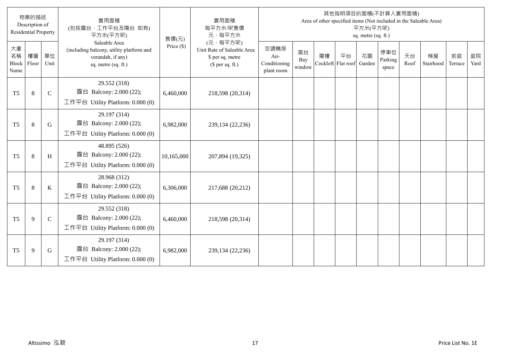|                           | 物業的描述<br>Description of<br><b>Residential Property</b> |              | 實用面積<br>(包括露台,工作平台及陽台 如有)<br>平方米(平方呎)                                                                 | 售價(元)        | 實用面積<br>每平方米/呎售價<br>元·每平方米                                                     |                                            |                     |    |                          | 平方米(平方呎)<br>sq. metre (sq. ft.) | 其他指明項目的面積(不計算入實用面積)     |            | Area of other specified items (Not included in the Saleable Area) |               |            |
|---------------------------|--------------------------------------------------------|--------------|-------------------------------------------------------------------------------------------------------|--------------|--------------------------------------------------------------------------------|--------------------------------------------|---------------------|----|--------------------------|---------------------------------|-------------------------|------------|-------------------------------------------------------------------|---------------|------------|
| 大廈<br>名稱<br>Block<br>Name | 樓層<br>Floor                                            | 單位<br>Unit   | Saleable Area<br>(including balcony, utility platform and<br>verandah, if any)<br>sq. metre (sq. ft.) | Price $(\$)$ | (元·每平方呎)<br>Unit Rate of Saleable Area<br>\$ per sq. metre<br>$$$ per sq. ft.) | 空調機房<br>Air-<br>Conditioning<br>plant room | 窗台<br>Bay<br>window | 閣樓 | 平台<br>Cockloft Flat roof | 花園<br>Garden                    | 停車位<br>Parking<br>space | 天台<br>Roof | 梯屋<br>Stairhood                                                   | 前庭<br>Terrace | 庭院<br>Yard |
| T <sub>5</sub>            | 8                                                      | $\mathbf C$  | 29.552 (318)<br>露台 Balcony: 2.000 (22);<br>工作平台 Utility Platform: 0.000 (0)                           | 6,460,000    | 218,598 (20,314)                                                               |                                            |                     |    |                          |                                 |                         |            |                                                                   |               |            |
| T <sub>5</sub>            | 8                                                      | G            | 29.197 (314)<br>露台 Balcony: 2.000 (22);<br>工作平台 Utility Platform: 0.000 (0)                           | 6,982,000    | 239,134 (22,236)                                                               |                                            |                     |    |                          |                                 |                         |            |                                                                   |               |            |
| T <sub>5</sub>            | 8                                                      | H            | 48.895 (526)<br>露台 Balcony: 2.000 (22);<br>工作平台 Utility Platform: $0.000(0)$                          | 10,165,000   | 207,894 (19,325)                                                               |                                            |                     |    |                          |                                 |                         |            |                                                                   |               |            |
| T <sub>5</sub>            | 8                                                      | $\bf K$      | 28.968 (312)<br>露台 Balcony: 2.000 (22);<br>工作平台 Utility Platform: $0.000(0)$                          | 6,306,000    | 217,688 (20,212)                                                               |                                            |                     |    |                          |                                 |                         |            |                                                                   |               |            |
| T <sub>5</sub>            | 9                                                      | $\mathsf{C}$ | 29.552 (318)<br>露台 Balcony: 2.000 (22);<br>工作平台 Utility Platform: 0.000 (0)                           | 6,460,000    | 218,598 (20,314)                                                               |                                            |                     |    |                          |                                 |                         |            |                                                                   |               |            |
| T <sub>5</sub>            | 9                                                      | G            | 29.197 (314)<br>露台 Balcony: 2.000 (22);<br>工作平台 Utility Platform: 0.000 (0)                           | 6,982,000    | 239,134 (22,236)                                                               |                                            |                     |    |                          |                                 |                         |            |                                                                   |               |            |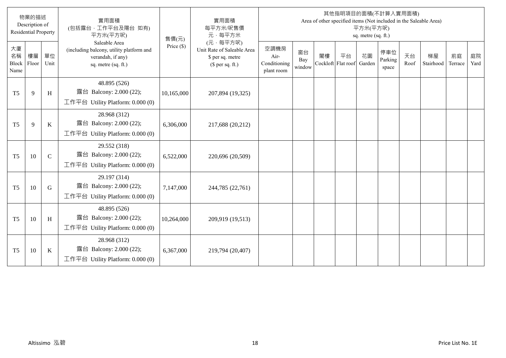|                           | 物業的描述<br>Description of<br><b>Residential Property</b> |             | 實用面積<br>(包括露台·工作平台及陽台 如有)<br>平方米(平方呎)                                                                 | 售價(元)        | 實用面積<br>每平方米/呎售價<br>元·每平方米                                                     |                                            |                     |    |                          | 平方米(平方呎)<br>sq. metre (sq. ft.) | 其他指明項目的面積(不計算入實用面積)     |            | Area of other specified items (Not included in the Saleable Area) |               |            |
|---------------------------|--------------------------------------------------------|-------------|-------------------------------------------------------------------------------------------------------|--------------|--------------------------------------------------------------------------------|--------------------------------------------|---------------------|----|--------------------------|---------------------------------|-------------------------|------------|-------------------------------------------------------------------|---------------|------------|
| 大廈<br>名稱<br>Block<br>Name | 樓層<br>Floor                                            | 單位<br>Unit  | Saleable Area<br>(including balcony, utility platform and<br>verandah, if any)<br>sq. metre (sq. ft.) | Price $(\$)$ | (元·每平方呎)<br>Unit Rate of Saleable Area<br>\$ per sq. metre<br>$$$ per sq. ft.) | 空調機房<br>Air-<br>Conditioning<br>plant room | 窗台<br>Bay<br>window | 閣樓 | 平台<br>Cockloft Flat roof | 花園<br>Garden                    | 停車位<br>Parking<br>space | 天台<br>Roof | 梯屋<br>Stairhood                                                   | 前庭<br>Terrace | 庭院<br>Yard |
| T <sub>5</sub>            | $\mathbf{Q}$                                           | H           | 48.895 (526)<br>露台 Balcony: 2.000 (22);<br>工作平台 Utility Platform: 0.000 (0)                           | 10,165,000   | 207,894 (19,325)                                                               |                                            |                     |    |                          |                                 |                         |            |                                                                   |               |            |
| T <sub>5</sub>            | 9                                                      | $\bf K$     | 28.968 (312)<br>露台 Balcony: 2.000 (22);<br>工作平台 Utility Platform: 0.000 (0)                           | 6,306,000    | 217,688 (20,212)                                                               |                                            |                     |    |                          |                                 |                         |            |                                                                   |               |            |
| T <sub>5</sub>            | 10                                                     | $\mathbf C$ | 29.552 (318)<br>露台 Balcony: 2.000 (22);<br>工作平台 Utility Platform: $0.000(0)$                          | 6,522,000    | 220,696 (20,509)                                                               |                                            |                     |    |                          |                                 |                         |            |                                                                   |               |            |
| T <sub>5</sub>            | 10                                                     | $\mathbf G$ | 29.197 (314)<br>露台 Balcony: 2.000 (22);<br>工作平台 Utility Platform: 0.000 (0)                           | 7,147,000    | 244,785 (22,761)                                                               |                                            |                     |    |                          |                                 |                         |            |                                                                   |               |            |
| T <sub>5</sub>            | 10                                                     | H           | 48.895 (526)<br>露台 Balcony: 2.000 (22);<br>工作平台 Utility Platform: 0.000 (0)                           | 10,264,000   | 209,919 (19,513)                                                               |                                            |                     |    |                          |                                 |                         |            |                                                                   |               |            |
| T <sub>5</sub>            | 10                                                     | $\bf K$     | 28.968 (312)<br>露台 Balcony: 2.000 (22);<br>工作平台 Utility Platform: 0.000 (0)                           | 6,367,000    | 219,794 (20,407)                                                               |                                            |                     |    |                          |                                 |                         |            |                                                                   |               |            |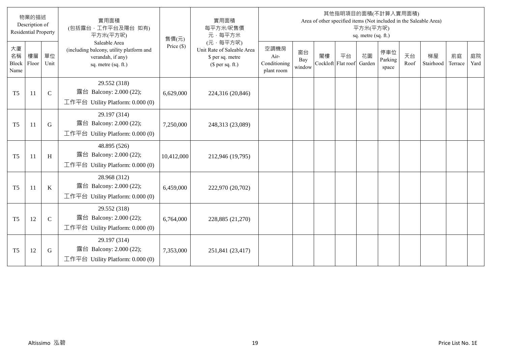|                           | 物業的描述<br>Description of<br><b>Residential Property</b> |              | 實用面積<br>(包括露台·工作平台及陽台 如有)<br>平方米(平方呎)                                                                 | 售價(元)        | 實用面積<br>每平方米/呎售價<br>元·每平方米                                                     |                                            |                     |    |                          | 平方米(平方呎)<br>sq. metre (sq. ft.) | 其他指明項目的面積(不計算入實用面積)     |            | Area of other specified items (Not included in the Saleable Area) |               |            |
|---------------------------|--------------------------------------------------------|--------------|-------------------------------------------------------------------------------------------------------|--------------|--------------------------------------------------------------------------------|--------------------------------------------|---------------------|----|--------------------------|---------------------------------|-------------------------|------------|-------------------------------------------------------------------|---------------|------------|
| 大廈<br>名稱<br>Block<br>Name | 樓層<br>Floor                                            | 單位<br>Unit   | Saleable Area<br>(including balcony, utility platform and<br>verandah, if any)<br>sq. metre (sq. ft.) | Price $(\$)$ | (元·每平方呎)<br>Unit Rate of Saleable Area<br>\$ per sq. metre<br>$$$ per sq. ft.) | 空調機房<br>Air-<br>Conditioning<br>plant room | 窗台<br>Bay<br>window | 閣樓 | 平台<br>Cockloft Flat roof | 花園<br>Garden                    | 停車位<br>Parking<br>space | 天台<br>Roof | 梯屋<br>Stairhood                                                   | 前庭<br>Terrace | 庭院<br>Yard |
| T <sub>5</sub>            | 11                                                     | $\mathbf C$  | 29.552 (318)<br>露台 Balcony: 2.000 (22);<br>工作平台 Utility Platform: 0.000 (0)                           | 6,629,000    | 224,316 (20,846)                                                               |                                            |                     |    |                          |                                 |                         |            |                                                                   |               |            |
| T <sub>5</sub>            | 11                                                     | G            | 29.197 (314)<br>露台 Balcony: 2.000 (22);<br>工作平台 Utility Platform: 0.000 (0)                           | 7,250,000    | 248,313 (23,089)                                                               |                                            |                     |    |                          |                                 |                         |            |                                                                   |               |            |
| T <sub>5</sub>            | <sup>11</sup>                                          | H            | 48.895 (526)<br>露台 Balcony: 2.000 (22);<br>工作平台 Utility Platform: $0.000(0)$                          | 10,412,000   | 212,946 (19,795)                                                               |                                            |                     |    |                          |                                 |                         |            |                                                                   |               |            |
| T <sub>5</sub>            | 11                                                     | $\bf K$      | 28.968 (312)<br>露台 Balcony: 2.000 (22);<br>工作平台 Utility Platform: $0.000(0)$                          | 6,459,000    | 222,970 (20,702)                                                               |                                            |                     |    |                          |                                 |                         |            |                                                                   |               |            |
| T <sub>5</sub>            | 12                                                     | $\mathsf{C}$ | 29.552 (318)<br>露台 Balcony: 2.000 (22);<br>工作平台 Utility Platform: 0.000 (0)                           | 6,764,000    | 228,885 (21,270)                                                               |                                            |                     |    |                          |                                 |                         |            |                                                                   |               |            |
| T <sub>5</sub>            | 12                                                     | G            | 29.197 (314)<br>露台 Balcony: 2.000 (22);<br>工作平台 Utility Platform: 0.000 (0)                           | 7,353,000    | 251,841 (23,417)                                                               |                                            |                     |    |                          |                                 |                         |            |                                                                   |               |            |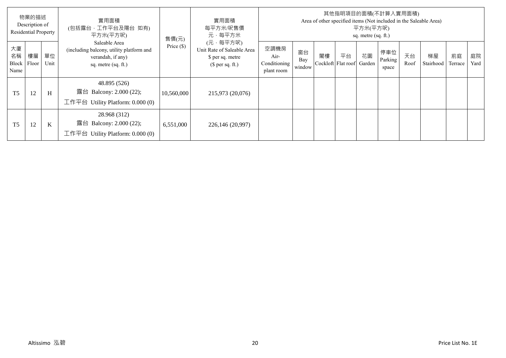|                           | 物業的描述<br>Description of<br><b>Residential Property</b> |            | 實用面積<br>(包括露台,工作平台及陽台 如有)<br>平方米(平方呎)                                                                 | 售價(元)        | 實用面積<br>每平方米/呎售價<br>元·每平方米                                                     |                                            |                     |                          |    | 平方米(平方呎)<br>sq. metre (sq. ft.) | 其他指明項目的面積(不計算入實用面積)     |            | Area of other specified items (Not included in the Saleable Area) |               |            |
|---------------------------|--------------------------------------------------------|------------|-------------------------------------------------------------------------------------------------------|--------------|--------------------------------------------------------------------------------|--------------------------------------------|---------------------|--------------------------|----|---------------------------------|-------------------------|------------|-------------------------------------------------------------------|---------------|------------|
| 大廈<br>名稱<br>Block<br>Name | 樓層<br>Floor                                            | 單位<br>Unit | Saleable Area<br>(including balcony, utility platform and<br>verandah, if any)<br>sq. metre (sq. ft.) | Price $(\$)$ | (元·每平方呎)<br>Unit Rate of Saleable Area<br>\$ per sq. metre<br>(\$ per sq. ft.) | 空調機房<br>Air-<br>Conditioning<br>plant room | 窗台<br>Bay<br>window | 閣樓<br>Cockloft Flat roof | 平台 | 花園<br>Garden                    | 停車位<br>Parking<br>space | 天台<br>Roof | 梯屋<br>Stairhood                                                   | 前庭<br>Terrace | 庭院<br>Yard |
| T <sub>5</sub>            | 12                                                     | H          | 48.895 (526)<br>露台 Balcony: 2.000 (22);<br>工作平台 Utility Platform: $0.000(0)$                          | 10,560,000   | 215,973 (20,076)                                                               |                                            |                     |                          |    |                                 |                         |            |                                                                   |               |            |
| T <sub>5</sub>            | 12                                                     | K          | 28.968 (312)<br>露台 Balcony: 2.000 (22);<br>工作平台<br>Utility Platform: 0.000 (0)                        | 6,551,000    | 226,146 (20,997)                                                               |                                            |                     |                          |    |                                 |                         |            |                                                                   |               |            |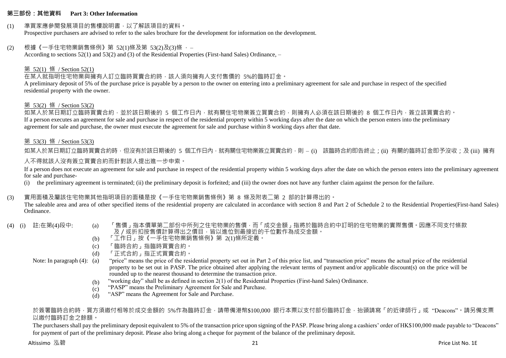#### **第三部份:其他資料 Part 3: Other Information**

#### (1) 準買家應參閱發展項目的售樓說明書,以了解該項目的資料。

Prospective purchasers are advised to refer to the sales brochure for the development for information on the development.

#### (2) 根據《一手住宅物業銷售條例》第 52(1)條及第 53(2)及(3)條 ,–

According to sections 52(1) and 53(2) and (3) of the Residential Properties (First-hand Sales) Ordinance, –

#### 第 52(1) 條 / Section 52(1)

在某人就指明住宅物業與擁有人訂立臨時買賣合約時,該人須向擁有人支付售價的 5%的臨時訂金。

A preliminary deposit of 5% of the purchase price is payable by a person to the owner on entering into a preliminary agreement for sale and purchase in respect of the specified residential property with the owner.

#### 第 53(2) 條 / Section 53(2)

如某人於某日期訂立臨時買賣合約,並於該日期後的 5 個工作日內,就有關住宅物業簽立買賣合約,則擁有人必須在該日期後的 8 個工作日內,簽立該買賣合約。 If a person executes an agreement for sale and purchase in respect of the residential property within 5 working days after the date on which the person enters into the preliminary agreement for sale and purchase, the owner must execute the agreement for sale and purchase within 8 working days after that date.

#### 第 53(3) 條 / Section 53(3)

如某人於某日期訂立臨時買賣合約時,但沒有於該日期後的 5 個工作日內,就有關住宅物業簽立買賣合約,則 – (i) 該臨時合約即告終止;(ii) 有關的臨時訂金即予沒收;及 (iii) 擁有 人不得就該人沒有簽立買賣合約而針對該人提出進一步申索。

If a person does not execute an agreement for sale and purchase in respect of the residential property within 5 working days after the date on which the person enters into the preliminary agreement for sale and purchase-

(i) the preliminary agreement is terminated; (ii) the preliminary deposit is forfeited; and (iii) the owner does not have any further claim against the person for the failure.

## (3) 實用面積及屬該住宅物業其他指明項目的面積是按《一手住宅物業銷售條例》第 8 條及附表二第 2 部的計算得出的。

The saleable area and area of other specified items of the residential property are calculated in accordance with section 8 and Part 2 of Schedule 2 to the Residential Properties(First-hand Sales) Ordinance.

- 
- (4) (i) 註:在第(4)段中: (a) 「售價」指本價單第二部份中所列之住宅物業的售價,而「成交金額」指將於臨時合約中訂明的住宅物業的實際售價。因應不同支付條款 及/或折扣按售價計算得出之價目,皆以進位到最接近的千位數作為成交金額。
	- (b) 「工作日」按《一手住宅物業銷售條例》第 2(1)條所定義。
	- (c) 「臨時合約」指臨時買賣合約。
	- (d) 「正式合約」指正式買賣合約。

Note: In paragraph (4): (a)

- "price" means the price of the residential property set out in Part 2 of this price list, and "transaction price" means the actual price of the residential property to be set out in PASP. The price obtained after applying the relevant terms of payment and/or applicable discount(s) on the price will be rounded up to the nearest thousand to determine the transaction price.
- (b) "working day" shall be as defined in section 2(1) of the Residential Properties (First-hand Sales) Ordinance.
- $(c)$ "PASP" means the Preliminary Agreement for Sale and Purchase.
- (d) "ASP" means the Agreement for Sale and Purchase.

## 於簽署臨時合約時,買方須繳付相等於成交金額的 5%作為臨時訂金,請帶備港幣\$100,000 銀行本票以支付部份臨時訂金,抬頭請寫「的折律師行」或"Deacons"。請另備支票 以繳付臨時訂金之餘額。

The purchasers shall pay the preliminary deposit equivalent to 5% of the transaction price upon signing of the PASP. Please bring along a cashiers' order of HK\$100,000 made payable to "Deacons" for payment of part of the preliminary deposit. Please also bring along a cheque for payment of the balance of the preliminary deposit.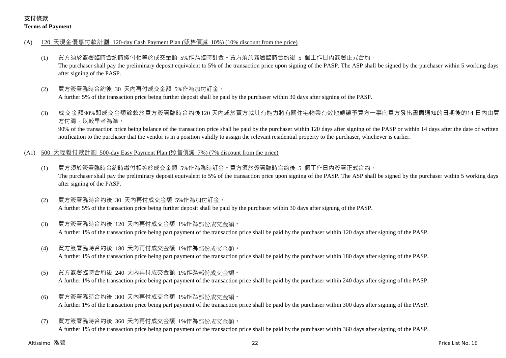## **支付條款 Terms of Payment**

- (A) 120 天現金優惠付款計劃 120-day Cash Payment Plan (照售價減 10%) (10% discount from the price)
	- (1) 買方須於簽署臨時合約時繳付相等於成交金額 5%作為臨時訂金。買方須於簽署臨時合約後 5 個工作日內簽署正式合約。 The purchaser shall pay the preliminary deposit equivalent to 5% of the transaction price upon signing of the PASP. The ASP shall be signed by the purchaser within 5 working days after signing of the PASP.
	- (2) 買方簽署臨時合約後 30 天內再付成交金額 5%作為加付訂金。

A further 5% of the transaction price being further deposit shall be paid by the purchaser within 30 days after signing of the PASP.

(3) 成交金額90%即成交金額餘款於買方簽署臨時合約後120 天內或於賣方就其有能力將有關住宅物業有效地轉讓予買方一事向買方發出書面通知的日期後的14 日內由買 方付清,以較早者為準。

90% of the transaction price being balance of the transaction price shall be paid by the purchaser within 120 days after signing of the PASP or within 14 days after the date of written notification to the purchaser that the vendor is in a position validly to assign the relevant residential property to the purchaser, whichever is earlier.

- (A1) 500 天輕鬆付款計劃 500-day Easy Payment Plan (照售價減 7%) (7% discount from the price)
	- (1) 買方須於簽署臨時合約時繳付相等於成交金額 5%作為臨時訂金。買方須於簽署臨時合約後 5 個工作日內簽署正式合約。 The purchaser shall pay the preliminary deposit equivalent to 5% of the transaction price upon signing of the PASP. The ASP shall be signed by the purchaser within 5 working days after signing of the PASP.
	- (2) 買方簽署臨時合約後 30 天內再付成交金額 5%作為加付訂金。 A further 5% of the transaction price being further deposit shall be paid by the purchaser within 30 days after signing of the PASP.
	- (3) 買方簽署臨時合約後 120 天內再付成交金額 1%作為部份成交金額。

A further 1% of the transaction price being part payment of the transaction price shall be paid by the purchaser within 120 days after signing of the PASP.

(4) 買方簽署臨時合約後 180 天內再付成交金額 1%作為部份成交金額。

A further 1% of the transaction price being part payment of the transaction price shall be paid by the purchaser within 180 days after signing of the PASP.

(5) 買方簽署臨時合約後 240 天內再付成交金額 1%作為部份成交金額。

A further 1% of the transaction price being part payment of the transaction price shall be paid by the purchaser within 240 days after signing of the PASP.

- (6) 買方簽署臨時合約後 300 天內再付成交金額 1%作為部份成交金額。 A further 1% of the transaction price being part payment of the transaction price shall be paid by the purchaser within 300 days after signing of the PASP.
- (7) 買方簽署臨時合約後 360 天內再付成交金額 1%作為部份成交金額。 A further 1% of the transaction price being part payment of the transaction price shall be paid by the purchaser within 360 days after signing of the PASP.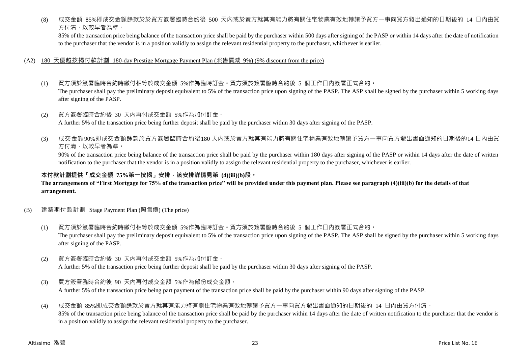(8) 成交金額 85%即成交金額餘款於於買方簽署臨時合約後 500 天內或於賣方就其有能力將有關住宅物業有效地轉讓予買方一事向買方發出通知的日期後的 14 日內由買 方付清,以較早者為準。

85% of the transaction price being balance of the transaction price shall be paid by the purchaser within 500 days after signing of the PASP or within 14 days after the date of notification to the purchaser that the vendor is in a position validly to assign the relevant residential property to the purchaser, whichever is earlier.

#### (A2) 180 天優越按揭付款計劃 180-day Prestige Mortgage Payment Plan (照售價減 9%) (9% discount from the price)

- (1) 買方須於簽署臨時合約時繳付相等於成交金額 5%作為臨時訂金。買方須於簽署臨時合約後 5 個工作日內簽署正式合約。 The purchaser shall pay the preliminary deposit equivalent to 5% of the transaction price upon signing of the PASP. The ASP shall be signed by the purchaser within 5 working days after signing of the PASP.
- (2) 買方簽署臨時合約後 30 天內再付成交金額 5%作為加付訂金。 A further 5% of the transaction price being further deposit shall be paid by the purchaser within 30 days after signing of the PASP.
- (3) 成交金額90%即成交金額餘款於買方簽署臨時合約後180 天內或於賣方就其有能力將有關住宅物業有效地轉讓予買方一事向買方發出書面通知的日期後的14 日內由買 方付清,以較早者為準。

90% of the transaction price being balance of the transaction price shall be paid by the purchaser within 180 days after signing of the PASP or within 14 days after the date of written notification to the purchaser that the vendor is in a position validly to assign the relevant residential property to the purchaser, whichever is earlier.

## **本付款計劃提供「成交金額 75%第一按揭」安排,該安排詳情見第 (4)(iii)(b)段。**

#### **The arrangements of "First Mortgage for 75% of the transaction price" will be provided under this payment plan. Please see paragraph (4)(iii)(b) for the details of that arrangement.**

## (B) 建築期付款計劃 Stage Payment Plan (照售價) (The price)

- (1) 買方須於簽署臨時合約時繳付相等於成交金額 5%作為臨時訂金。買方須於簽署臨時合約後 5 個工作日內簽署正式合約。 The purchaser shall pay the preliminary deposit equivalent to 5% of the transaction price upon signing of the PASP. The ASP shall be signed by the purchaser within 5 working days after signing of the PASP.
- (2) 買方簽署臨時合約後 30 天內再付成交金額 5%作為加付訂金。 A further 5% of the transaction price being further deposit shall be paid by the purchaser within 30 days after signing of the PASP.
- (3) 買方簽署臨時合約後 90 天內再付成交金額 5%作為部份成交金額。 A further 5% of the transaction price being part payment of the transaction price shall be paid by the purchaser within 90 days after signing of the PASP.

## (4) 成交金額 85%即成交金額餘款於賣方就其有能力將有關住宅物業有效地轉讓予買方一事向買方發出書面通知的日期後的 14 日內由買方付清。

85% of the transaction price being balance of the transaction price shall be paid by the purchaser within 14 days after the date of written notification to the purchaser that the vendor is in a position validly to assign the relevant residential property to the purchaser.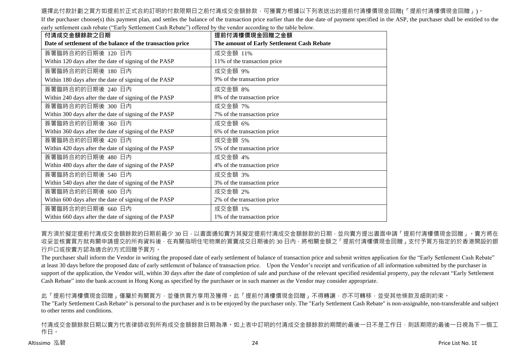## 選擇此付款計劃之買方如提前於正式合約訂明的付款限期日之前付清成交金額餘款,可獲賣方根據以下列表送出的提前付清樓價現金回贈(「提前付清樓價現金回贈」)。

If the purchaser choose(s) this payment plan, and settles the balance of the transaction price earlier than the due date of payment specified in the ASP, the purchaser shall be entitled to the early settlement cash rebate ("Early Settlement Cash Rebate") offered by the vendor according to the table below.

| 付清成交金額餘款之日期                                                | 提前付清樓價現金回贈之金額                              |
|------------------------------------------------------------|--------------------------------------------|
| Date of settlement of the balance of the transaction price | The amount of Early Settlement Cash Rebate |
| 簽署臨時合約的日期後 120 日內                                          | 成交金額 11%                                   |
| Within 120 days after the date of signing of the PASP      | 11% of the transaction price               |
| 簽署臨時合約的日期後 180 日內                                          | 成交金額 9%                                    |
| Within 180 days after the date of signing of the PASP      | 9% of the transaction price                |
| 簽署臨時合約的日期後 240 日內                                          | 成交金額 8%                                    |
| Within 240 days after the date of signing of the PASP      | 8% of the transaction price                |
| 簽署臨時合約的日期後 300 日內                                          | 成交金額 7%                                    |
| Within 300 days after the date of signing of the PASP      | 7% of the transaction price                |
| 簽署臨時合約的日期後 360 日內                                          | 成交金額 6%                                    |
| Within 360 days after the date of signing of the PASP      | 6% of the transaction price                |
| 簽署臨時合約的日期後 420 日內                                          | 成交金額 5%                                    |
| Within 420 days after the date of signing of the PASP      | 5% of the transaction price                |
| 簽署臨時合約的日期後 480 日內                                          | 成交金額 4%                                    |
| Within 480 days after the date of signing of the PASP      | 4% of the transaction price                |
| 簽署臨時合約的日期後 540 日內                                          | 成交金額 3%                                    |
| Within 540 days after the date of signing of the PASP      | 3% of the transaction price                |
| 簽署臨時合約的日期後 600 日內                                          | 成交金額 2%                                    |
| Within 600 days after the date of signing of the PASP      | 2% of the transaction price                |
| 簽署臨時合約的日期後 660 日內                                          | 成交金額 1%                                    |
| Within 660 days after the date of signing of the PASP      | 1% of the transaction price                |

買方須於擬定提前付清成交金額餘款的日期前最少 30 日,以書面通知賣方其擬定提前付清成交金額餘款的日期,並向賣方提出書面申請「提前付清樓價現金回贈」。賣方將在 收妥並核實買方就有關申請提交的所有資料後,在有關指明住宅物業的買賣成交日期後的 30 日內,將相關金額之「提前付清樓價現金回贈」支付予買方指定的於香港開設的銀 行戶口或按賣方認為適合的方式回贈予買方。

The purchaser shall inform the Vendor in writing the proposed date of early settlement of balance of transaction price and submit written application for the "Early Settlement Cash Rebate" at least 30 days before the proposed date of early settlement of balance of transaction price. Upon the Vendor's receipt and verification of all information submitted by the purchaser in support of the application, the Vendor will, within 30 days after the date of completion of sale and purchase of the relevant specified residential property, pay the relevant "Early Settlement" Cash Rebate" into the bank account in Hong Kong as specified by the purchaser or in such manner as the Vendor may consider appropriate.

此「提前付清樓價現金回贈」僅屬於有關買方,並僅供買方享用及獲得。此「提前付清樓價現金回贈」不得轉讓,亦不可轉移,並受其他條款及細則約束。 The "Early Settlement Cash Rebate" is personal to the purchaser and is to be enjoyed by the purchaser only. The "Early Settlement Cash Rebate" is non-assignable, non-transferable and subject to other terms and conditions.

付清成交金額餘款日期以賣方代表律師收到所有成交金額餘款日期為準。如上表中訂明的付清成交金額餘款的期間的最後一日不是工作日,則該期限的最後一日視為下一個工 作日。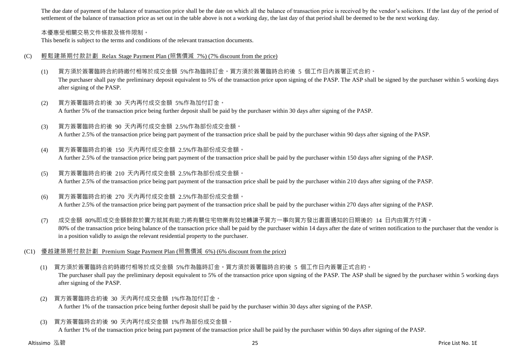The due date of payment of the balance of transaction price shall be the date on which all the balance of transaction price is received by the vendor's solicitors. If the last day of the period of settlement of the balance of transaction price as set out in the table above is not a working day, the last day of that period shall be deemed to be the next working day.

#### 本優惠受相關交易文件條款及條件限制。

This benefit is subject to the terms and conditions of the relevant transaction documents.

#### (C) 輕鬆建築期付款計劃 Relax Stage Payment Plan (照售價減 7%) (7% discount from the price)

- (1) 買方須於簽署臨時合約時繳付相等於成交金額 5%作為臨時訂金。買方須於簽署臨時合約後 5 個工作日內簽署正式合約。 The purchaser shall pay the preliminary deposit equivalent to 5% of the transaction price upon signing of the PASP. The ASP shall be signed by the purchaser within 5 working days after signing of the PASP.
- (2) 買方簽署臨時合約後 30 天內再付成交金額 5%作為加付訂金。 A further 5% of the transaction price being further deposit shall be paid by the purchaser within 30 days after signing of the PASP.
- (3) 買方簽署臨時合約後 90 天內再付成交金額 2.5%作為部份成交金額。 A further 2.5% of the transaction price being part payment of the transaction price shall be paid by the purchaser within 90 days after signing of the PASP.
- (4) 買方簽署臨時合約後 150 天內再付成交金額 2.5%作為部份成交金額。

A further 2.5% of the transaction price being part payment of the transaction price shall be paid by the purchaser within 150 days after signing of the PASP.

- (5) 買方簽署臨時合約後 210 天內再付成交金額 2.5%作為部份成交金額。 A further 2.5% of the transaction price being part payment of the transaction price shall be paid by the purchaser within 210 days after signing of the PASP.
- (6) 買方簽署臨時合約後 270 天內再付成交金額 2.5%作為部份成交金額。 A further 2.5% of the transaction price being part payment of the transaction price shall be paid by the purchaser within 270 days after signing of the PASP.
- (7) 成交金額 80%即成交金額餘款於賣方就其有能力將有關住宅物業有效地轉讓予買方一事向買方發出書面通知的日期後的 14 日內由買方付清。 80% of the transaction price being balance of the transaction price shall be paid by the purchaser within 14 days after the date of written notification to the purchaser that the vendor is in a position validly to assign the relevant residential property to the purchaser.
- (C1) 優越建築期付款計劃 Premium Stage Payment Plan (照售價減 6%) (6% discount from the price)
	- (1) 買方須於簽署臨時合約時繳付相等於成交金額 5%作為臨時訂金。買方須於簽署臨時合約後 5 個工作日內簽署正式合約。 The purchaser shall pay the preliminary deposit equivalent to 5% of the transaction price upon signing of the PASP. The ASP shall be signed by the purchaser within 5 working days after signing of the PASP.
	- (2) 買方簽署臨時合約後 30 天內再付成交金額 1%作為加付訂金。 A further 1% of the transaction price being further deposit shall be paid by the purchaser within 30 days after signing of the PASP.
	- (3) 買方簽署臨時合約後 90 天內再付成交金額 1%作為部份成交金額。 A further 1% of the transaction price being part payment of the transaction price shall be paid by the purchaser within 90 days after signing of the PASP.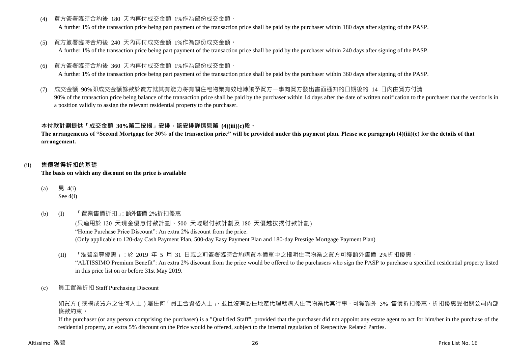(4) 買方簽署臨時合約後 180 天內再付成交金額 1%作為部份成交金額。

A further 1% of the transaction price being part payment of the transaction price shall be paid by the purchaser within 180 days after signing of the PASP.

(5) 買方簽署臨時合約後 240 天內再付成交金額 1%作為部份成交金額。

A further 1% of the transaction price being part payment of the transaction price shall be paid by the purchaser within 240 days after signing of the PASP.

(6) 買方簽署臨時合約後 360 天內再付成交金額 1%作為部份成交金額。

A further 1% of the transaction price being part payment of the transaction price shall be paid by the purchaser within 360 days after signing of the PASP.

(7) 成交金額 90%即成交金額餘款於賣方就其有能力將有關住宅物業有效地轉讓予買方一事向買方發出書面通知的日期後的 14 日內由買方付清 90% of the transaction price being balance of the transaction price shall be paid by the purchaser within 14 days after the date of written notification to the purchaser that the vendor is in a position validly to assign the relevant residential property to the purchaser.

## **本付款計劃提供「成交金額 30%第二按揭」安排,該安排詳情見第 (4)(iii)(c)段。**

**The arrangements of "Second Mortgage for 30% of the transaction price" will be provided under this payment plan. Please see paragraph (4)(iii)(c) for the details of that arrangement.**

## (ii) **售價獲得折扣的基礎**

**The basis on which any discount on the price is available**

- (a) 見  $4(i)$ See 4(i)
- (b) (I) 「置業售價折扣」:額外售價 2%折扣優惠

(只適用於 120 天現金優惠付款計劃、500 天輕鬆付款計劃及 180 天優越按揭付款計劃) "Home Purchase Price Discount": An extra 2% discount from the price. (Only applicable to 120-day Cash Payment Plan, 500-day Easy Payment Plan and 180-day Prestige Mortgage Payment Plan)

- (II) 「泓碧至尊優惠」:於 2019 年 5 月 31 日或之前簽署臨時合約購買本價單中之指明住宅物業之買方可獲額外售價 2%折扣優惠。 "ALTISSIMO Premium Benefit": An extra 2% discount from the price would be offered to the purchasers who sign the PASP to purchase a specified residential property listed in this price list on or before 31st May 2019.
- (c) 員工置業折扣 Staff Purchasing Discount

如買方(或構成買方之任何人士)屬任何「員工合資格人士」,並且沒有委任地產代理就購入住宅物業代其行事,可獲額外 5% 售價折扣優惠,折扣優惠受相關公司內部 條款約束。

If the purchaser (or any person comprising the purchaser) is a "Qualified Staff", provided that the purchaser did not appoint any estate agent to act for him/her in the purchase of the residential property, an extra 5% discount on the Price would be offered, subject to the internal regulation of Respective Related Parties.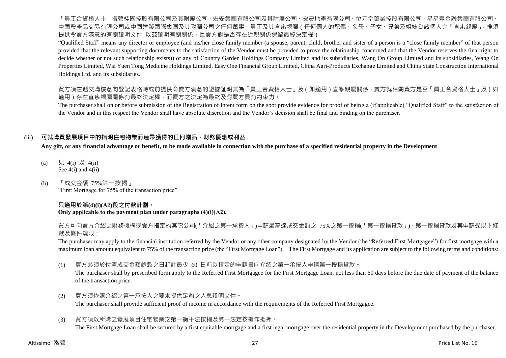「員工合資格人士」指碧桂園控股有限公司及其附屬公司、宏安集團有限公司及其附屬公司、宏安地產有限公司、位元堂藥業控股有限公司、易易壹金融集團有限公司、 中國農產品交易有限公司或中國建築國際集團及其附屬公司之任何董事、員工及其直系親屬(任何個人的配偶、父母、子女、兄弟及姐妹為該個人之「直系親屬」,惟須 提供令賣方滿意的有關證明文件 以茲證明有關關係,且賣方對是否存在近親關係保留最終決定權)。

"Qualified Staff" means any director or employee (and his/her close family member (a spouse, parent, child, brother and sister of a person is a "close family member" of that person provided that the relevant supporting documents to the satisfaction of the Vendor must be provided to prove the relationship concerned and that the Vendor reserves the final right to decide whether or not such relationship exists)) of any of Country Garden Holdings Company Limited and its subsidiaries, Wang On Group Limited and its subsidiaries, Wang On Properties Limited, Wai Yuen Tong Medicine Holdings Limited, Easy One Financial Group Limited, China Agri-Products Exchange Limited and China State Construction International Holdings Ltd. and its subsidiaries.

買方須在遞交購樓意向登記表格時或前提供令賣方滿意的證據証明其為「員工合資格人士」及(如適用)直系親屬關係,賣方就相關買方是否「員工合資格人士」及(如 適用)存在直系親屬關係有最終決定權,而賣方之決定為最終及對買方具有約束力。

The purchaser shall on or before submission of the Registration of Intent form on the spot provide evidence for proof of being a (if applicable) "Qualified Staff" to the satisfaction of the Vendor and in this respect the Vendor shall have absolute discretion and the Vendor's decision shall be final and binding on the purchaser.

## (iii) **可就購買發展項目中的指明住宅物業而連帶獲得的任何贈品、財務優惠或利益**

**Any gift, or any financial advantage or benefit, to be made available in connection with the purchase of a specified residential property in the Development**

- (a) 見 4(i) 及 4(ii) See  $4(i)$  and  $4(ii)$
- (b) 「成交金額 75%第一按揭」 "First Mortgage for 75% of the transaction price"

## **只適用於第(4)(i)(A2)段之付款計劃。**

## **Only applicable to the payment plan under paragraphs (4)(i)(A2).**

買方可向賣方介紹之財務機構或賣方指定的其它公司(「介紹之第一承按人」)申請最高達成交金額之 75%之第一按揭(「第一按揭貸款」)。第一按揭貸款及其申請受以下條 款及條件規限:

The purchaser may apply to the financial institution referred by the Vendor or any other company designated by the Vendor (the "Referred First Mortgagee") for first mortgage with a maximum loan amount equivalent to 75% of the transaction price (the "First Mortgage Loan"). The First Mortgage and its application are subject to the following terms and conditions:

(1) 買方必須於付清成交金額餘款之日起計最少 60 日前以指定的申請書向介紹之第一承按人申請第一按揭貸款。

The purchaser shall by prescribed form apply to the Referred First Mortgagee for the First Mortgage Loan, not less than 60 days before the due date of payment of the balance of the transaction price.

- (2) 買方須依照介紹之第一承按人之要求提供足夠之入息證明文件。 The purchaser shall provide sufficient proof of income in accordance with the requirements of the Referred First Mortgagee.
- (3) 買方須以所購之發展項目住宅物業之第一衡平法按揭及第一法定按揭作抵押。

The First Mortgage Loan shall be secured by a first equitable mortgage and a first legal mortgage over the residential property in the Development purchased by the purchaser.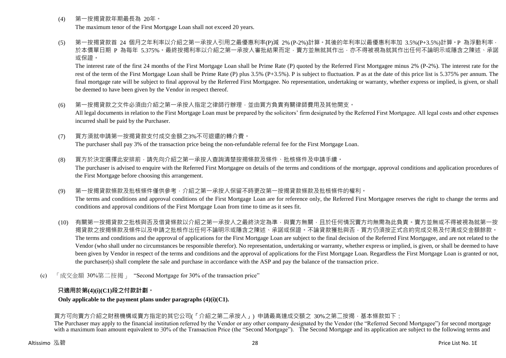- (4) 第一按揭貸款年期最長為 20年。 The maximum tenor of the First Mortgage Loan shall not exceed 20 years.
- (5) 第一按揭貸款首 24 個月之年利率以介紹之第一承按人引用之最優惠利率(P)減 2% (P-2%)計算。其後的年利率以最優惠利率加 3.5%(P+3.5%)計算。P 為浮動利率, 於本價單日期 P 為每年 5.375%。最終按揭利率以介紹之第一承按人審批結果而定,賣方並無就其作出,亦不得被視為就其作出任何不論明示或隱含之陳述、承諾 或保證。

The interest rate of the first 24 months of the First Mortgage Loan shall be Prime Rate (P) quoted by the Referred First Mortgagee minus 2% (P-2%). The interest rate for the rest of the term of the First Mortgage Loan shall be Prime Rate (P) plus 3.5% (P+3.5%). P is subject to fluctuation. P as at the date of this price list is 5.375% per annum. The final mortgage rate will be subject to final approval by the Referred First Mortgagee. No representation, undertaking or warranty, whether express or implied, is given, or shall be deemed to have been given by the Vendor in respect thereof.

- (6) 第一按揭貸款之文件必須由介紹之第一承按人指定之律師行辦理,並由買方負責有關律師費用及其他開支。 All legal documents in relation to the First Mortgage Loan must be prepared by the solicitors' firm designated by the Referred First Mortgagee. All legal costs and other expenses incurred shall be paid by the Purchaser.
- (7) 買方須就申請第一按揭貸款支付成交金額之3%不可退還的轉介費。 The purchaser shall pay 3% of the transaction price being the non-refundable referral fee for the First Mortgage Loan.

(8) 買方於決定選擇此安排前,請先向介紹之第一承按人查詢清楚按揭條款及條件、批核條件及申請手續。

The purchaser is advised to enquire with the Referred First Mortgagee on details of the terms and conditions of the mortgage, approval conditions and application procedures of the First Mortgage before choosing this arrangement.

(9) 第一按揭貸款條款及批核條件僅供參考,介紹之第一承按人保留不時更改第一按揭貸款條款及批核條件的權利。

The terms and conditions and approval conditions of the First Mortgage Loan are for reference only, the Referred First Mortgagee reserves the right to change the terms and conditions and approval conditions of the First Mortgage Loan from time to time as it sees fit.

- (10) 有關第一按揭貸款之批核與否及借貸條款以介紹之第一承按人之最終決定為準,與賣方無關,且於任何情況賣方均無需為此負責。賣方並無或不得被視為就第一按 揭貸款之按揭條款及條件以及申請之批核作出任何不論明示或隱含之陳述、承諾或保證。不論貸款獲批與否,買方仍須按正式合約完成交易及付清成交金額餘款。 The terms and conditions and the approval of applications for the First Mortgage Loan are subject to the final decision of the Referred First Mortgagee, and are not related to the Vendor (who shall under no circumstances be responsible therefor). No representation, undertaking or warranty, whether express or implied, is given, or shall be deemed to have been given by Vendor in respect of the terms and conditions and the approval of applications for the First Mortgage Loan. Regardless the First Mortgage Loan is granted or not, the purchaser(s) shall complete the sale and purchase in accordance with the ASP and pay the balance of the transaction price.
- (c) 「成交金額 30%第二按揭」 "Second Mortgage for 30% of the transaction price"

## **只適用於第(4)(i)(C1)段之付款計劃。**

**Only applicable to the payment plans under paragraphs (4)(i)(C1).**

## 買方可向賣方介紹之財務機構或賣方指定的其它公司(「介紹之第二承按人」) 申請最高達成交額之 30%之第二按揭,基本條款如下:

The Purchaser may apply to the financial institution referred by the Vendor or any other company designated by the Vendor (the "Referred Second Mortgagee") for second mortgage with a maximum loan amount equivalent to 30% of the Transaction Price (the "Second Mortgage"). The Second Mortgage and its application are subject to the following terms and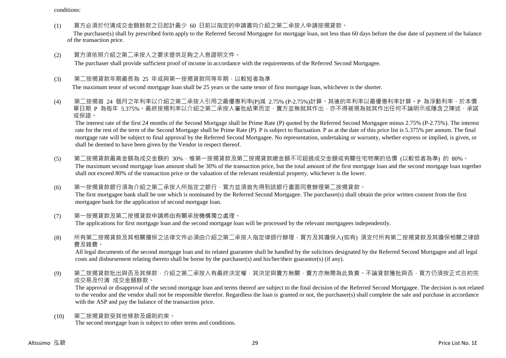conditions:

(1) 買方必須於付清成交金額餘款之日起計最少 60 日前以指定的申請書向介紹之第二承按人申請按揭貸款。

The purchaser(s) shall by prescribed form apply to the Referred Second Mortgagee for mortgage loan, not less than 60 days before the due date of payment of the balance of the transaction price.

(2) 買方須依照介紹之第二承按人之要求提供足夠之入息證明文件。 The purchaser shall provide sufficient proof of income in accordance with the requirements of the Referred Second Mortgagee.

## (3) 第二按揭貸款年期最長為 25 年或與第一按揭貸款同等年期,以較短者為準

The maximum tenor of second mortgage loan shall be 25 years or the same tenor of first mortgage loan, whichever is the shorter.

(4) 第二按揭首 24 個月之年利率以介紹之第二承按人引用之最優惠利率(P)減 2.75% (P-2.75%)計算。其後的年利率以最優惠利率計算。P 為浮動利率,於本價 單日期 P 為每年 5.375%。最終按揭利率以介紹之第二承按人審批結果而定,賣方並無就其作出,亦不得被視為就其作出任何不論明示或隱含之陳述、承諾 或保證。

The interest rate of the first 24 months of the Second Mortgage shall be Prime Rate (P) quoted by the Referred Second Mortgagee minus 2.75% (P-2.75%). The interest rate for the rest of the term of the Second Mortgage shall be Prime Rate (P). P is subject to fluctuation. P as at the date of this price list is 5.375% per annum. The final mortgage rate will be subject to final approval by the Referred Second Mortgagee. No representation, undertaking or warranty, whether express or implied, is given, or shall be deemed to have been given by the Vendor in respect thereof.

- (5) 第二按揭貸款最高金額為成交金額的 30%,惟第一按揭貸款及第二按揭貸款總金額不可超過成交金額或有關住宅物業的估價 (以較低者為準) 的 80%。 The maximum second mortgage loan amount shall be 30% of the transaction price, but the total amount of the first mortgage loan and the second mortgage loan together shall not exceed 80% of the transaction price or the valuation of the relevant residential property, whichever is the lower.
- (6) 第一按揭貸款銀行須為介紹之第二承按人所指定之銀行,買方並須首先得到該銀行書面同意辦理第二按揭貸款。 The first mortgagee bank shall be one which is nominated by the Referred Second Mortgagee. The purchaser(s) shall obtain the prior written consent from the first mortgagee bank for the application of second mortgage loan.
- (7) 第一按揭貸款及第二按揭貸款申請將由有關承按機構獨立處理。 The applications for first mortgage loan and the second mortgage loan will be processed by the relevant mortgagees independently.
- (8) 所有第二按揭貸款及其相關擔保之法律文件必須由介紹之第二承按人指定律師行辦理,買方及其擔保人(如有) 須支付所有第二按揭貸款及其擔保相關之律師 費及雜費。

All legal documents of the second mortgage loan and its related guarantee shall be handled by the solicitors designated by the Referred Second Mortgagee and all legal costs and disbursement relating thereto shall be borne by the purchaser(s) and his/her/their guarantor(s) (if any).

(9) 第二按揭貸款批出與否及其條款,介紹之第二承按人有最終決定權,其決定與賣方無關,賣方亦無需為此負責。不論貸款獲批與否,買方仍須按正式合約完 成交易及付清 成交金額餘款。

The approval or disapproval of the second mortgage loan and terms thereof are subject to the final decision of the Referred Second Mortgagee. The decision is not related to the vendor and the vendor shall not be responsible therefor. Regardless the loan is granted or not, the purchaser(s) shall complete the sale and purchase in accordance with the ASP and pay the balance of the transaction price.

(10) 第二按揭貸款受其他條款及細則約束。 The second mortgage loan is subject to other terms and conditions.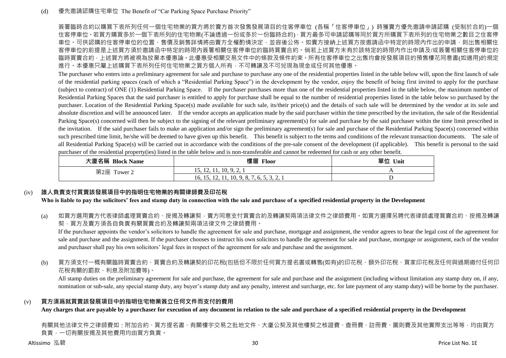簽署臨時合約以購買下表所列任何一個住宅物業的買方將於賣方首次發售發展項目的住客停車位 (各稱「住客停車位」) 時獲賣方優先邀請申請認購 (受制於合約)一個 住客停車位。若買方購買多於一個下表所列的住宅物業(不論透過一份或多於一份臨時合約),買方最多可申請認購等同於買方所購買下表所列的住宅物業之數目之住客停 車位。可供認購的住客停車位的位置、售價及銷售詳情將由賣方全權酌情決定,並容後公佈。如賣方接納上述買方按邀請函中特定的時限內作出的申請,則出售相關住 客停車位的前提是上述買方須於邀請函中特定的時限內簽署相關住客停車位的臨時買賣合約。倘若上述買方未有於該特定的時限內作出申請及/或簽署相關住客停車位的 臨時買賣合約,上述買方將被視為放棄本優惠論。此優惠受相關交易文件中的條款及條件約束。所有住客停車位之出售均會按發展項目的預售樓花同意書(如適用)的規定 進行。本優惠只屬上述購買下表所列任何住宅物業之買方個人所有,不可轉讓及不可兌現為現金或任何其他優惠。

The purchaser who enters into a preliminary agreement for sale and purchase to purchase any one of the residential properties listed in the table below will, upon the first launch of sale of the residential parking spaces (each of which a "Residential Parking Space") in the development by the vendor, enjoy the benefit of being first invited to apply for the purchase (subject to contract) of ONE (1) Residential Parking Space. If the purchaser purchases more than one of the residential properties listed in the table below, the maximum number of Residential Parking Spaces that the said purchaser is entitled to apply for purchase shall be equal to the number of residential properties listed in the table below so purchased by the purchaser. Location of the Residential Parking Space(s) made available for such sale, its/their price(s) and the details of such sale will be determined by the vendor at its sole and absolute discretion and will be announced later. If the vendor accepts an application made by the said purchaser within the time prescribed by the invitation, the sale of the Residential Parking Space(s) concerned will then be subject to the signing of the relevant preliminary agreement(s) for sale and purchase by the said purchaser within the time limit prescribed in the invitation. If the said purchaser fails to make an application and/or sign the preliminary agreement(s) for sale and purchase of the Residential Parking Space(s) concerned within such prescribed time limit, he/she will be deemed to have given up this benefit. This benefit is subject to the terms and conditions of the relevant transaction documents. The sale of all Residential Parking Space(s) will be carried out in accordance with the conditions of the pre-sale consent of the development (if applicable). This benefit is personal to the said purchaser of the residential property(ies) listed in the table below and is non-transferable and cannot be redeemed for cash or any other benefit.

| 大廈名稱 Block Name | 樓層 Floor                                   | 單位<br>Unit |
|-----------------|--------------------------------------------|------------|
| 第2座 Tower 2     | 15, 12, 11, 10, 9, 2,                      |            |
|                 | 16, 15, 12, 11, 10, 9, 8, 7, 6, 5, 3, 2, 1 | ∸          |

## (iv) **誰人負責支付買賣該發展項目中的指明住宅物業的有關律師費及印花稅**

**Who is liable to pay the solicitors' fees and stamp duty in connection with the sale and purchase of a specified residential property in the Development**

(a) 如買方選用賣方代表律師處理買賣合約、按揭及轉讓契‧賣方同意支付買賣合約及轉讓契兩項法律文件之律師費用。如買方選擇另聘代表律師處理買賣合約、按揭及轉讓 契,買方及賣方須各自負責有關買賣合約及轉讓契兩項法律文件之律師費用。

If the purchaser appoints the vendor's solicitors to handle the agreement for sale and purchase, mortgage and assignment, the vendor agrees to bear the legal cost of the agreement for sale and purchase and the assignment. If the purchaser chooses to instruct his own solicitors to handle the agreement for sale and purchase, mortgage or assignment, each of the vendor and purchaser shall pay his own solicitors' legal fees in respect of the agreement for sale and purchase and the assignment.

(b) 買方須支付一概有關臨時買賣合約、買賣合約及轉讓契的印花稅(包括但不限於任何買方提名書或轉售(如有)的印花稅、額外印花稅、買家印花稅及任何與過期繳付任何印 花稅有關的罰款、利息及附加費等)。

All stamp duties on the preliminary agreement for sale and purchase, the agreement for sale and purchase and the assignment (including without limitation any stamp duty on, if any, nomination or sub-sale, any special stamp duty, any buyer's stamp duty and any penalty, interest and surcharge, etc. for late payment of any stamp duty) will be borne by the purchaser.

#### (v) **買方須爲就買賣該發展項目中的指明住宅物業簽立任何文件而支付的費用**

**Any charges that are payable by a purchaser for execution of any document in relation to the sale and purchase of a specified residential property in the Development**

有關其他法律文件之律師費如:附加合約、買方提名書、有關樓宇交易之批地文件、大廈公契及其他樓契之核證費、查冊費、註冊費、圖則費及其他實際支出等等,均由買方 負責,一切有關按揭及其他費用均由買方負責。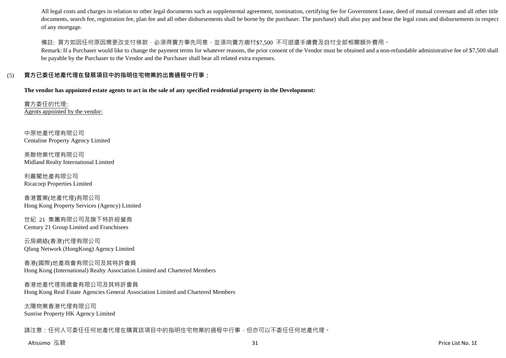All legal costs and charges in relation to other legal documents such as supplemental agreement, nomination, certifying fee for Government Lease, deed of mutual covenant and all other title documents, search fee, registration fee, plan fee and all other disbursements shall be borne by the purchaser. The purchase) shall also pay and bear the legal costs and disbursements in respect of any mortgage.

## 備註: 買方如因任何原因需更改支付條款,必須得賣方事先同意,並須向賣方繳付\$7,500 不可退還手續費及自付全部相關額外費用。

Remark: If a Purchaser would like to change the payment terms for whatever reasons, the prior consent of the Vendor must be obtained and a non-refundable administrative fee of \$7,500 shall be payable by the Purchaser to the Vendor and the Purchaser shall bear all related extra expenses.

## (5) **賣方已委任地產代理在發展項目中的指明住宅物業的出售過程中行事:**

**The vendor has appointed estate agents to act in the sale of any specified residential property in the Development:**

賣方委任的代理: Agents appointed by the vendor:

中原地產代理有限公司 Centaline Property Agency Limited

美聯物業代理有限公司 Midland Realty International Limited

利嘉閣地產有限公司 Ricacorp Properties Limited

香港置業(地產代理)有限公司 Hong Kong Property Services (Agency) Limited

世紀 21 集團有限公司及旗下特許經營商 Century 21 Group Limited and Franchisees

云房網絡(香港)代理有限公司 Qfang Network (HongKong) Agency Limited

香港(國際)地產商會有限公司及其特許會員 Hong Kong (International) Realty Association Limited and Chartered Members

香港地產代理商總會有限公司及其特許會員 Hong Kong Real Estate Agencies General Association Limited and Chartered Members

太陽物業香港代理有限公司 Sunrise Property HK Agency Limited

請注意:任何人可委任任何地產代理在購買該項目中的指明住宅物業的過程中行事,但亦可以不委任任何地產代理。